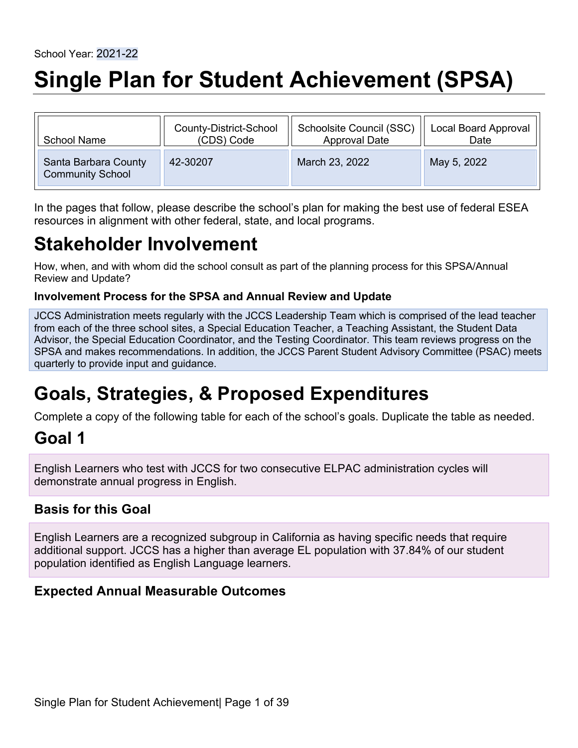# **Single Plan for Student Achievement (SPSA)**

| <b>School Name</b>                              | County-District-School | Schoolsite Council (SSC) | Local Board Approval |
|-------------------------------------------------|------------------------|--------------------------|----------------------|
|                                                 | (CDS) Code             | <b>Approval Date</b>     | Date                 |
| Santa Barbara County<br><b>Community School</b> | 42-30207               | March 23, 2022           | May 5, 2022          |

In the pages that follow, please describe the school's plan for making the best use of federal ESEA resources in alignment with other federal, state, and local programs.

## **Stakeholder Involvement**

How, when, and with whom did the school consult as part of the planning process for this SPSA/Annual Review and Update?

#### **Involvement Process for the SPSA and Annual Review and Update**

JCCS Administration meets regularly with the JCCS Leadership Team which is comprised of the lead teacher from each of the three school sites, a Special Education Teacher, a Teaching Assistant, the Student Data Advisor, the Special Education Coordinator, and the Testing Coordinator. This team reviews progress on the SPSA and makes recommendations. In addition, the JCCS Parent Student Advisory Committee (PSAC) meets quarterly to provide input and guidance.

## **Goals, Strategies, & Proposed Expenditures**

Complete a copy of the following table for each of the school's goals. Duplicate the table as needed.

## **Goal 1**

English Learners who test with JCCS for two consecutive ELPAC administration cycles will demonstrate annual progress in English.

### **Basis for this Goal**

English Learners are a recognized subgroup in California as having specific needs that require additional support. JCCS has a higher than average EL population with 37.84% of our student population identified as English Language learners.

### **Expected Annual Measurable Outcomes**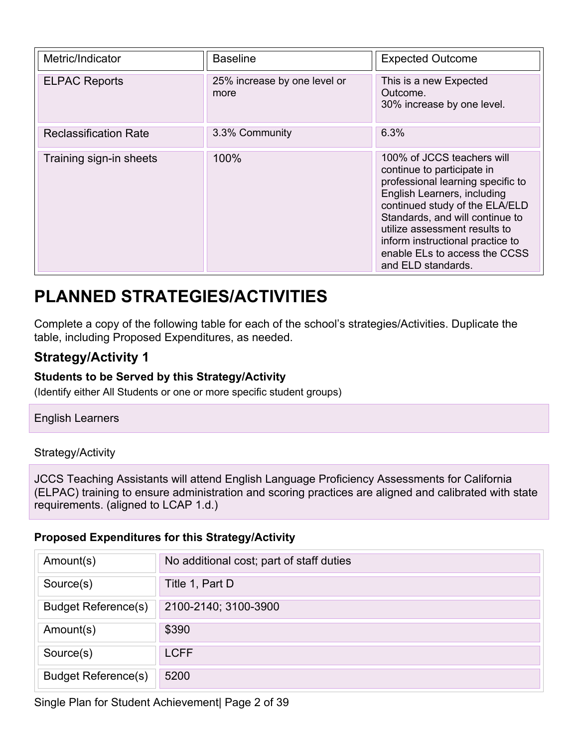| Metric/Indicator             | <b>Baseline</b>                      | <b>Expected Outcome</b>                                                                                                                                                                                                                                                                                                       |
|------------------------------|--------------------------------------|-------------------------------------------------------------------------------------------------------------------------------------------------------------------------------------------------------------------------------------------------------------------------------------------------------------------------------|
| <b>ELPAC Reports</b>         | 25% increase by one level or<br>more | This is a new Expected<br>Outcome.<br>30% increase by one level.                                                                                                                                                                                                                                                              |
| <b>Reclassification Rate</b> | 3.3% Community                       | 6.3%                                                                                                                                                                                                                                                                                                                          |
| Training sign-in sheets      | 100%                                 | 100% of JCCS teachers will<br>continue to participate in<br>professional learning specific to<br>English Learners, including<br>continued study of the ELA/ELD<br>Standards, and will continue to<br>utilize assessment results to<br>inform instructional practice to<br>enable ELs to access the CCSS<br>and ELD standards. |

## **PLANNED STRATEGIES/ACTIVITIES**

Complete a copy of the following table for each of the school's strategies/Activities. Duplicate the table, including Proposed Expenditures, as needed.

### **Strategy/Activity 1**

#### **Students to be Served by this Strategy/Activity**

(Identify either All Students or one or more specific student groups)

English Learners

#### Strategy/Activity

JCCS Teaching Assistants will attend English Language Proficiency Assessments for California (ELPAC) training to ensure administration and scoring practices are aligned and calibrated with state requirements. (aligned to LCAP 1.d.)

#### **Proposed Expenditures for this Strategy/Activity**

| Amount(s)                  | No additional cost; part of staff duties |
|----------------------------|------------------------------------------|
| Source(s)                  | Title 1, Part D                          |
| <b>Budget Reference(s)</b> | 2100-2140; 3100-3900                     |
| Amount(s)                  | \$390                                    |
| Source(s)                  | <b>LCFF</b>                              |
| <b>Budget Reference(s)</b> | 5200                                     |

Single Plan for Student Achievement| Page 2 of 39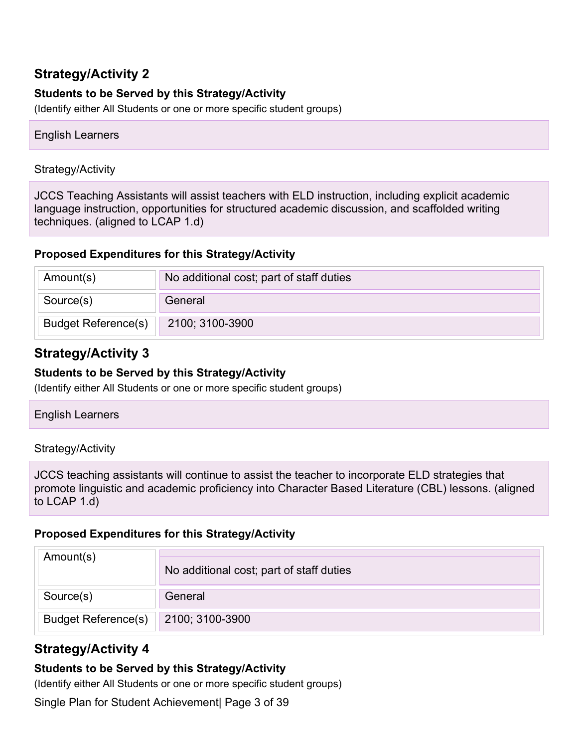#### **Students to be Served by this Strategy/Activity**

(Identify either All Students or one or more specific student groups)

#### English Learners

#### Strategy/Activity

JCCS Teaching Assistants will assist teachers with ELD instruction, including explicit academic language instruction, opportunities for structured academic discussion, and scaffolded writing techniques. (aligned to LCAP 1.d)

#### **Proposed Expenditures for this Strategy/Activity**

| Amount(s)                  | No additional cost; part of staff duties |
|----------------------------|------------------------------------------|
| Source(s)                  | General                                  |
| <b>Budget Reference(s)</b> | 2100; 3100-3900                          |

### **Strategy/Activity 3**

#### **Students to be Served by this Strategy/Activity**

(Identify either All Students or one or more specific student groups)

#### English Learners

#### Strategy/Activity

JCCS teaching assistants will continue to assist the teacher to incorporate ELD strategies that promote linguistic and academic proficiency into Character Based Literature (CBL) lessons. (aligned to LCAP 1.d)

#### **Proposed Expenditures for this Strategy/Activity**

| Amount(s)                  | No additional cost; part of staff duties |
|----------------------------|------------------------------------------|
| Source(s)                  | General                                  |
| <b>Budget Reference(s)</b> | 2100; 3100-3900                          |

### **Strategy/Activity 4**

#### **Students to be Served by this Strategy/Activity**

(Identify either All Students or one or more specific student groups)

Single Plan for Student Achievement| Page 3 of 39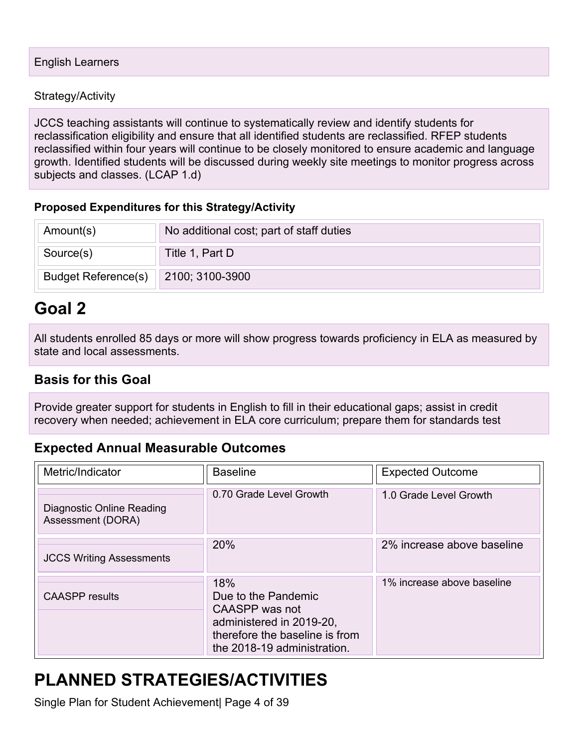JCCS teaching assistants will continue to systematically review and identify students for reclassification eligibility and ensure that all identified students are reclassified. RFEP students reclassified within four years will continue to be closely monitored to ensure academic and language growth. Identified students will be discussed during weekly site meetings to monitor progress across subjects and classes. (LCAP 1.d)

#### **Proposed Expenditures for this Strategy/Activity**

| Amount(s)                  | No additional cost; part of staff duties |
|----------------------------|------------------------------------------|
| Source(s)                  | Title 1, Part D                          |
| <b>Budget Reference(s)</b> | 2100; 3100-3900                          |

## **Goal 2**

All students enrolled 85 days or more will show progress towards proficiency in ELA as measured by state and local assessments.

### **Basis for this Goal**

Provide greater support for students in English to fill in their educational gaps; assist in credit recovery when needed; achievement in ELA core curriculum; prepare them for standards test

### **Expected Annual Measurable Outcomes**

| Metric/Indicator                               | <b>Baseline</b>                                                                                                                           | <b>Expected Outcome</b>    |
|------------------------------------------------|-------------------------------------------------------------------------------------------------------------------------------------------|----------------------------|
| Diagnostic Online Reading<br>Assessment (DORA) | 0.70 Grade Level Growth                                                                                                                   | 1.0 Grade Level Growth     |
| <b>JCCS Writing Assessments</b>                | 20%                                                                                                                                       | 2% increase above baseline |
| <b>CAASPP</b> results                          | 18%<br>Due to the Pandemic<br>CAASPP was not<br>administered in 2019-20,<br>therefore the baseline is from<br>the 2018-19 administration. | 1% increase above baseline |

## **PLANNED STRATEGIES/ACTIVITIES**

Single Plan for Student Achievement| Page 4 of 39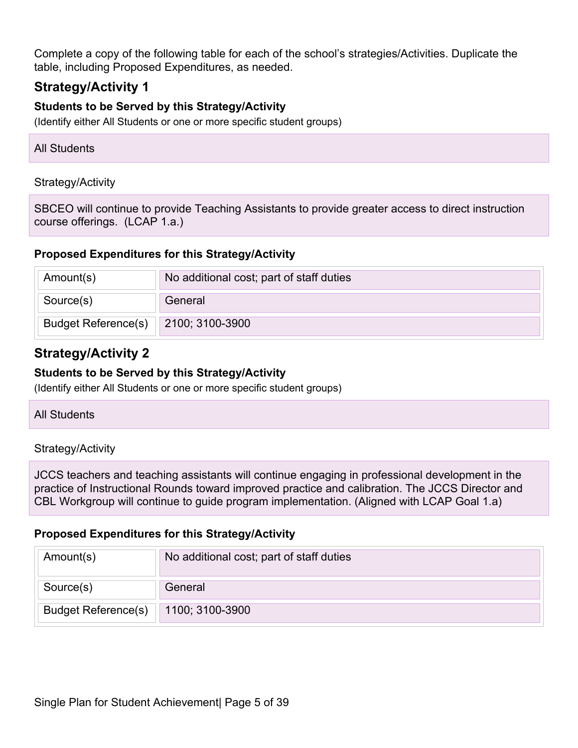Complete a copy of the following table for each of the school's strategies/Activities. Duplicate the table, including Proposed Expenditures, as needed.

### **Strategy/Activity 1**

#### **Students to be Served by this Strategy/Activity**

(Identify either All Students or one or more specific student groups)

| <b>All Students</b> |  |
|---------------------|--|
|---------------------|--|

#### Strategy/Activity

SBCEO will continue to provide Teaching Assistants to provide greater access to direct instruction course offerings. (LCAP 1.a.)

#### **Proposed Expenditures for this Strategy/Activity**

| Amount(s)                  | No additional cost; part of staff duties |
|----------------------------|------------------------------------------|
| Source(s)                  | General                                  |
| <b>Budget Reference(s)</b> | 2100; 3100-3900                          |

### **Strategy/Activity 2**

#### **Students to be Served by this Strategy/Activity**

(Identify either All Students or one or more specific student groups)

#### All Students

#### Strategy/Activity

JCCS teachers and teaching assistants will continue engaging in professional development in the practice of Instructional Rounds toward improved practice and calibration. The JCCS Director and CBL Workgroup will continue to guide program implementation. (Aligned with LCAP Goal 1.a)

#### **Proposed Expenditures for this Strategy/Activity**

| Amount(s)                  | No additional cost; part of staff duties |
|----------------------------|------------------------------------------|
| Source(s)                  | General                                  |
| <b>Budget Reference(s)</b> | 1100; 3100-3900                          |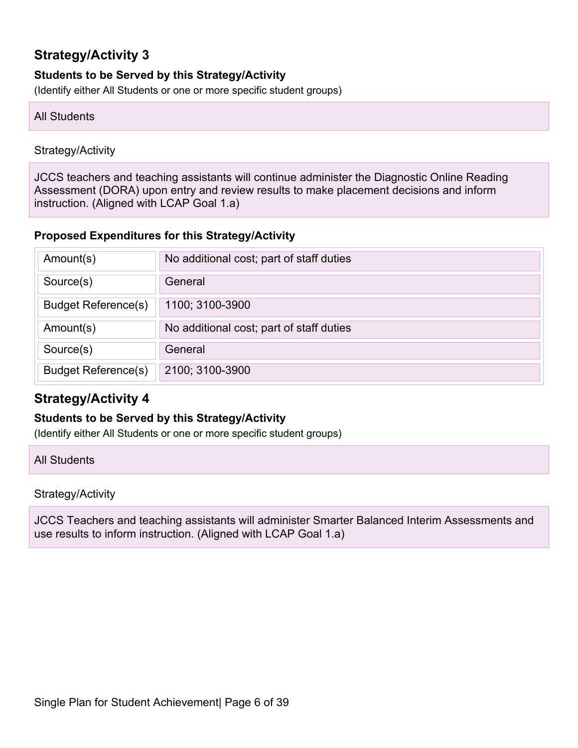#### **Students to be Served by this Strategy/Activity**

(Identify either All Students or one or more specific student groups)

#### All Students

#### Strategy/Activity

JCCS teachers and teaching assistants will continue administer the Diagnostic Online Reading Assessment (DORA) upon entry and review results to make placement decisions and inform instruction. (Aligned with LCAP Goal 1.a)

#### **Proposed Expenditures for this Strategy/Activity**

| Amount(s)                  | No additional cost; part of staff duties |
|----------------------------|------------------------------------------|
| Source(s)                  | General                                  |
| <b>Budget Reference(s)</b> | 1100; 3100-3900                          |
| Amount(s)                  | No additional cost; part of staff duties |
| Source(s)                  | General                                  |
| <b>Budget Reference(s)</b> | 2100; 3100-3900                          |

### **Strategy/Activity 4**

#### **Students to be Served by this Strategy/Activity**

(Identify either All Students or one or more specific student groups)

All Students

#### Strategy/Activity

JCCS Teachers and teaching assistants will administer Smarter Balanced Interim Assessments and use results to inform instruction. (Aligned with LCAP Goal 1.a)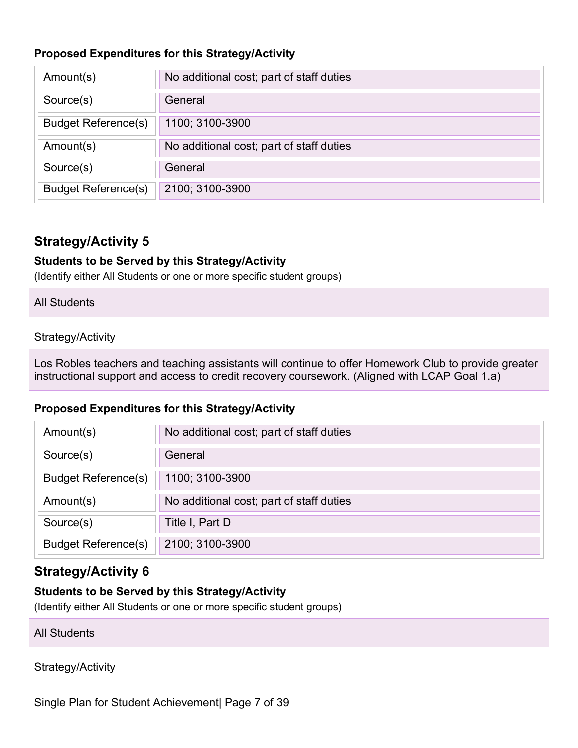#### **Proposed Expenditures for this Strategy/Activity**

| Amount(s)                  | No additional cost; part of staff duties |
|----------------------------|------------------------------------------|
| Source(s)                  | General                                  |
| <b>Budget Reference(s)</b> | 1100; 3100-3900                          |
| Amount(s)                  | No additional cost; part of staff duties |
| Source(s)                  | General                                  |
| <b>Budget Reference(s)</b> | 2100; 3100-3900                          |

### **Strategy/Activity 5**

#### **Students to be Served by this Strategy/Activity**

(Identify either All Students or one or more specific student groups)

#### All Students

#### Strategy/Activity

Los Robles teachers and teaching assistants will continue to offer Homework Club to provide greater instructional support and access to credit recovery coursework. (Aligned with LCAP Goal 1.a)

#### **Proposed Expenditures for this Strategy/Activity**

| Amount(s)                  | No additional cost; part of staff duties |
|----------------------------|------------------------------------------|
| Source(s)                  | General                                  |
| <b>Budget Reference(s)</b> | 1100; 3100-3900                          |
| Amount(s)                  | No additional cost; part of staff duties |
| Source(s)                  | Title I, Part D                          |
| <b>Budget Reference(s)</b> | 2100; 3100-3900                          |

### **Strategy/Activity 6**

#### **Students to be Served by this Strategy/Activity**

(Identify either All Students or one or more specific student groups)

All Students

Strategy/Activity

Single Plan for Student Achievement| Page 7 of 39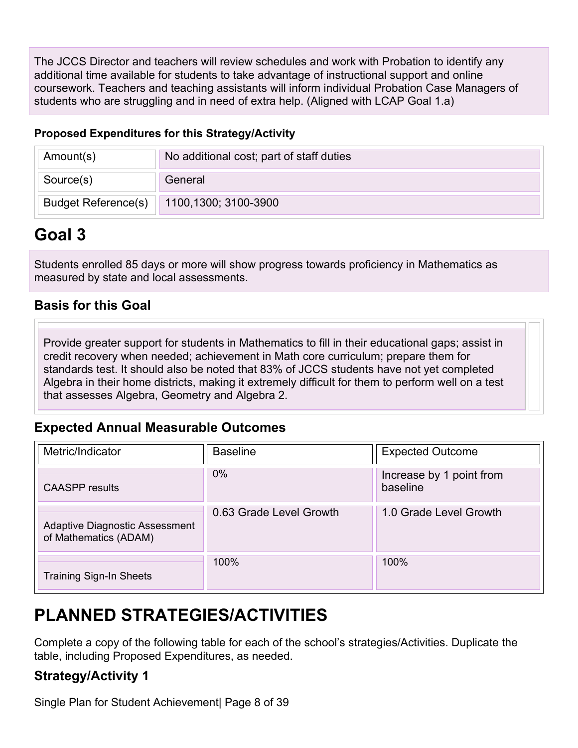The JCCS Director and teachers will review schedules and work with Probation to identify any additional time available for students to take advantage of instructional support and online coursework. Teachers and teaching assistants will inform individual Probation Case Managers of students who are struggling and in need of extra help. (Aligned with LCAP Goal 1.a)

#### **Proposed Expenditures for this Strategy/Activity**

| Amount(s)                  | No additional cost; part of staff duties |
|----------------------------|------------------------------------------|
| Source(s)                  | General                                  |
| <b>Budget Reference(s)</b> | 1100,1300; 3100-3900                     |

## **Goal 3**

Students enrolled 85 days or more will show progress towards proficiency in Mathematics as measured by state and local assessments.

### **Basis for this Goal**

Provide greater support for students in Mathematics to fill in their educational gaps; assist in credit recovery when needed; achievement in Math core curriculum; prepare them for standards test. It should also be noted that 83% of JCCS students have not yet completed Algebra in their home districts, making it extremely difficult for them to perform well on a test that assesses Algebra, Geometry and Algebra 2.

### **Expected Annual Measurable Outcomes**

| Metric/Indicator                                               | <b>Baseline</b>         | <b>Expected Outcome</b>              |
|----------------------------------------------------------------|-------------------------|--------------------------------------|
| <b>CAASPP</b> results                                          | 0%                      | Increase by 1 point from<br>baseline |
| <b>Adaptive Diagnostic Assessment</b><br>of Mathematics (ADAM) | 0.63 Grade Level Growth | 1.0 Grade Level Growth               |
| <b>Training Sign-In Sheets</b>                                 | 100%                    | 100%                                 |

## **PLANNED STRATEGIES/ACTIVITIES**

Complete a copy of the following table for each of the school's strategies/Activities. Duplicate the table, including Proposed Expenditures, as needed.

## **Strategy/Activity 1**

Single Plan for Student Achievement| Page 8 of 39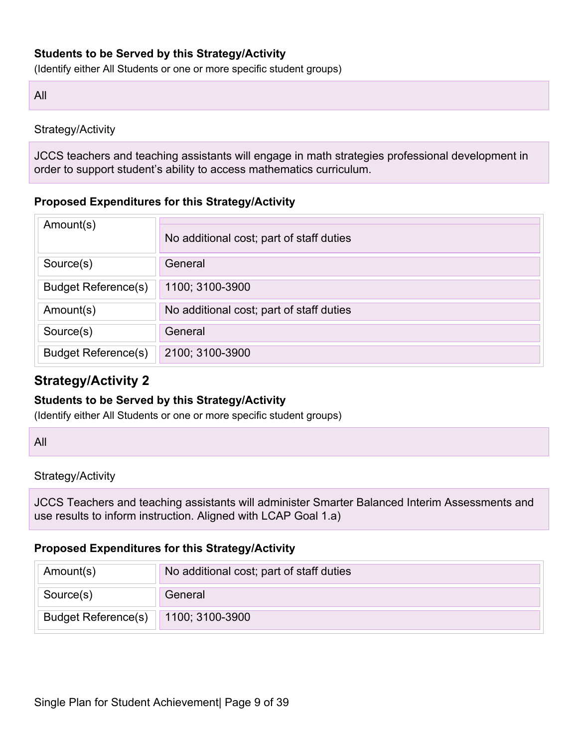#### **Students to be Served by this Strategy/Activity**

(Identify either All Students or one or more specific student groups)

All

#### Strategy/Activity

JCCS teachers and teaching assistants will engage in math strategies professional development in order to support student's ability to access mathematics curriculum.

#### **Proposed Expenditures for this Strategy/Activity**

| Amount(s)                  | No additional cost; part of staff duties |
|----------------------------|------------------------------------------|
| Source(s)                  | General                                  |
| <b>Budget Reference(s)</b> | 1100; 3100-3900                          |
| Amount(s)                  | No additional cost; part of staff duties |
| Source(s)                  | General                                  |
| <b>Budget Reference(s)</b> | 2100; 3100-3900                          |

### **Strategy/Activity 2**

#### **Students to be Served by this Strategy/Activity**

(Identify either All Students or one or more specific student groups)

All

#### Strategy/Activity

JCCS Teachers and teaching assistants will administer Smarter Balanced Interim Assessments and use results to inform instruction. Aligned with LCAP Goal 1.a)

#### **Proposed Expenditures for this Strategy/Activity**

| Amount(s)                  | No additional cost; part of staff duties |
|----------------------------|------------------------------------------|
| Source(s)                  | General                                  |
| <b>Budget Reference(s)</b> | 1100; 3100-3900                          |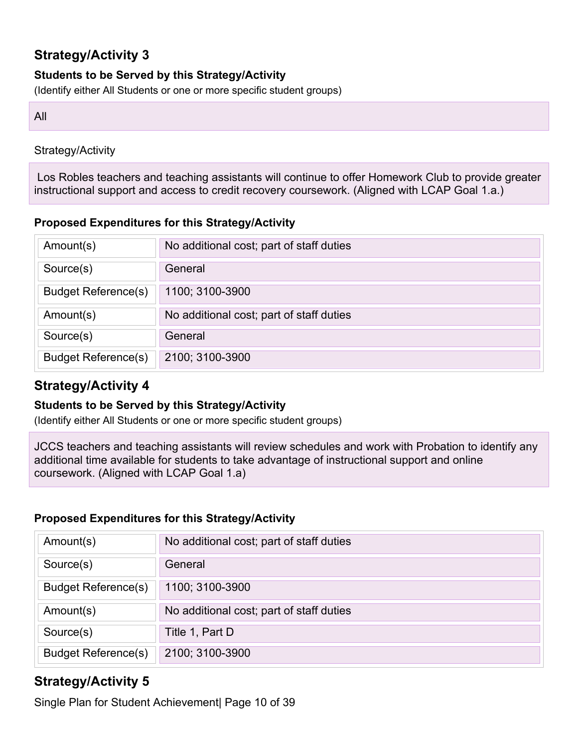#### **Students to be Served by this Strategy/Activity**

(Identify either All Students or one or more specific student groups)

#### All

#### Strategy/Activity

Los Robles teachers and teaching assistants will continue to offer Homework Club to provide greater instructional support and access to credit recovery coursework. (Aligned with LCAP Goal 1.a.)

#### **Proposed Expenditures for this Strategy/Activity**

| Amount(s)                  | No additional cost; part of staff duties |
|----------------------------|------------------------------------------|
| Source(s)                  | General                                  |
| <b>Budget Reference(s)</b> | 1100; 3100-3900                          |
| Amount(s)                  | No additional cost; part of staff duties |
| Source(s)                  | General                                  |
| <b>Budget Reference(s)</b> | 2100; 3100-3900                          |

### **Strategy/Activity 4**

#### **Students to be Served by this Strategy/Activity**

(Identify either All Students or one or more specific student groups)

JCCS teachers and teaching assistants will review schedules and work with Probation to identify any additional time available for students to take advantage of instructional support and online coursework. (Aligned with LCAP Goal 1.a)

#### **Proposed Expenditures for this Strategy/Activity**

| Amount(s)                  | No additional cost; part of staff duties |
|----------------------------|------------------------------------------|
| Source(s)                  | General                                  |
| <b>Budget Reference(s)</b> | 1100; 3100-3900                          |
| Amount(s)                  | No additional cost; part of staff duties |
| Source(s)                  | Title 1, Part D                          |
| <b>Budget Reference(s)</b> | 2100; 3100-3900                          |

### **Strategy/Activity 5**

Single Plan for Student Achievement| Page 10 of 39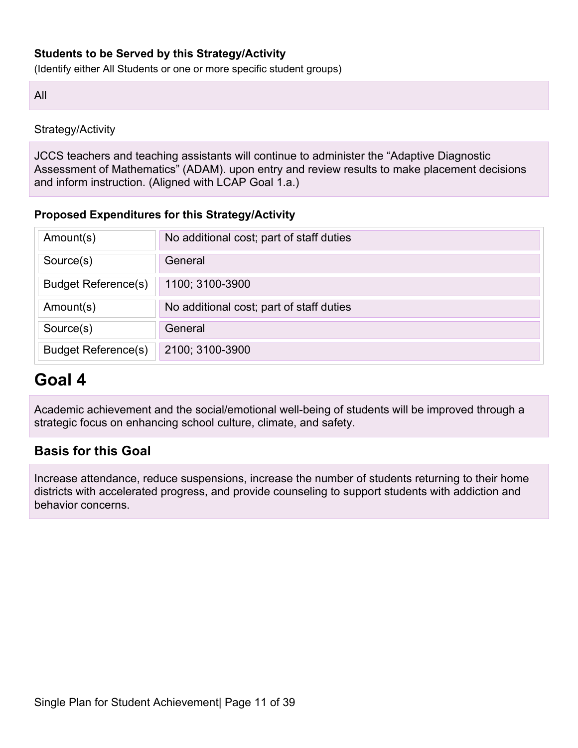#### **Students to be Served by this Strategy/Activity**

(Identify either All Students or one or more specific student groups)

All

Strategy/Activity

JCCS teachers and teaching assistants will continue to administer the "Adaptive Diagnostic Assessment of Mathematics" (ADAM). upon entry and review results to make placement decisions and inform instruction. (Aligned with LCAP Goal 1.a.)

#### **Proposed Expenditures for this Strategy/Activity**

| Amount(s)                  | No additional cost; part of staff duties |
|----------------------------|------------------------------------------|
| Source(s)                  | General                                  |
| <b>Budget Reference(s)</b> | 1100; 3100-3900                          |
| Amount(s)                  | No additional cost; part of staff duties |
| Source(s)                  | General                                  |
| <b>Budget Reference(s)</b> | 2100; 3100-3900                          |

## **Goal 4**

Academic achievement and the social/emotional well-being of students will be improved through a strategic focus on enhancing school culture, climate, and safety.

### **Basis for this Goal**

Increase attendance, reduce suspensions, increase the number of students returning to their home districts with accelerated progress, and provide counseling to support students with addiction and behavior concerns.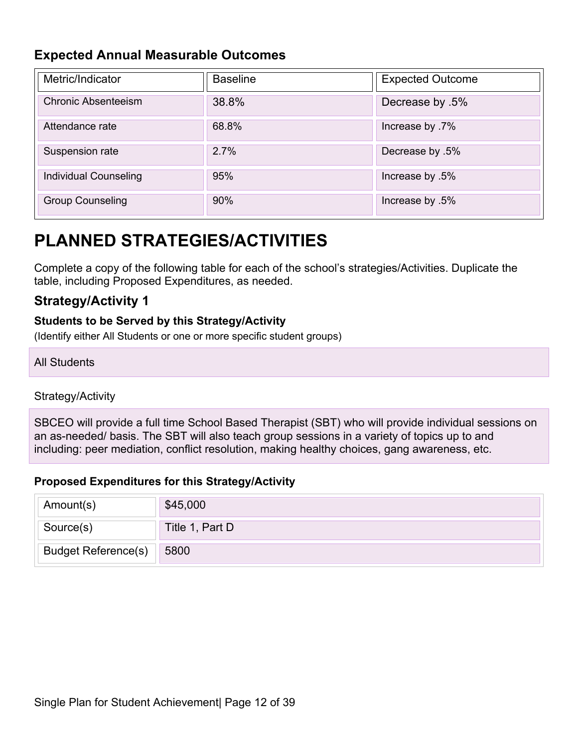### **Expected Annual Measurable Outcomes**

| Metric/Indicator           | <b>Baseline</b> | <b>Expected Outcome</b> |
|----------------------------|-----------------|-------------------------|
| <b>Chronic Absenteeism</b> | 38.8%           | Decrease by .5%         |
| Attendance rate            | 68.8%           | lncrease by .7%         |
| Suspension rate            | 2.7%            | Decrease by .5%         |
| Individual Counseling      | 95%             | lncrease by .5%         |
| <b>Group Counseling</b>    | 90%             | lncrease by .5%         |

## **PLANNED STRATEGIES/ACTIVITIES**

Complete a copy of the following table for each of the school's strategies/Activities. Duplicate the table, including Proposed Expenditures, as needed.

### **Strategy/Activity 1**

#### **Students to be Served by this Strategy/Activity**

(Identify either All Students or one or more specific student groups)

#### All Students

#### Strategy/Activity

SBCEO will provide a full time School Based Therapist (SBT) who will provide individual sessions on an as-needed/ basis. The SBT will also teach group sessions in a variety of topics up to and including: peer mediation, conflict resolution, making healthy choices, gang awareness, etc.

#### **Proposed Expenditures for this Strategy/Activity**

| Amount(s)                  | \$45,000        |
|----------------------------|-----------------|
| Source(s)                  | Title 1, Part D |
| <b>Budget Reference(s)</b> | 5800            |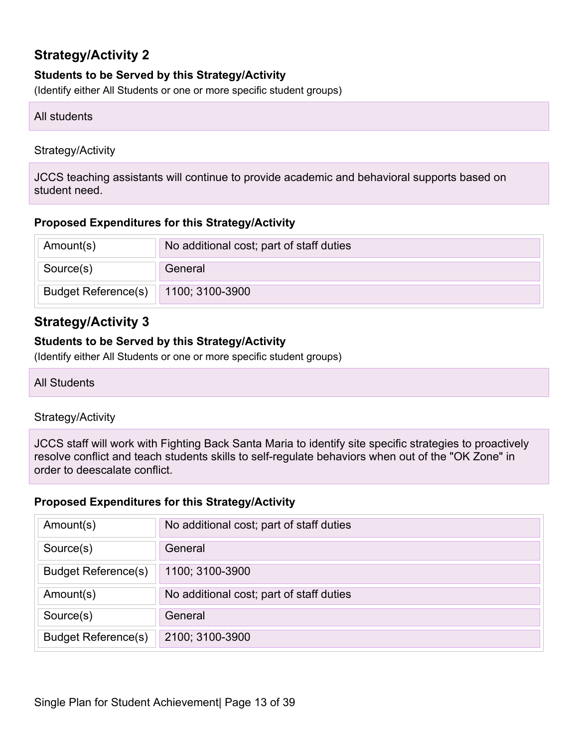#### **Students to be Served by this Strategy/Activity**

(Identify either All Students or one or more specific student groups)

#### All students

#### Strategy/Activity

JCCS teaching assistants will continue to provide academic and behavioral supports based on student need.

#### **Proposed Expenditures for this Strategy/Activity**

| Amount(s)                  | No additional cost; part of staff duties |
|----------------------------|------------------------------------------|
| Source(s)                  | General                                  |
| <b>Budget Reference(s)</b> | $  1100; 3100-3900  $                    |

### **Strategy/Activity 3**

#### **Students to be Served by this Strategy/Activity**

(Identify either All Students or one or more specific student groups)

#### All Students

#### Strategy/Activity

JCCS staff will work with Fighting Back Santa Maria to identify site specific strategies to proactively resolve conflict and teach students skills to self-regulate behaviors when out of the "OK Zone" in order to deescalate conflict.

#### **Proposed Expenditures for this Strategy/Activity**

| Amount(s)                  | No additional cost; part of staff duties |
|----------------------------|------------------------------------------|
| Source(s)                  | General                                  |
| <b>Budget Reference(s)</b> | 1100; 3100-3900                          |
| Amount(s)                  | No additional cost; part of staff duties |
| Source(s)                  | General                                  |
| <b>Budget Reference(s)</b> | 2100; 3100-3900                          |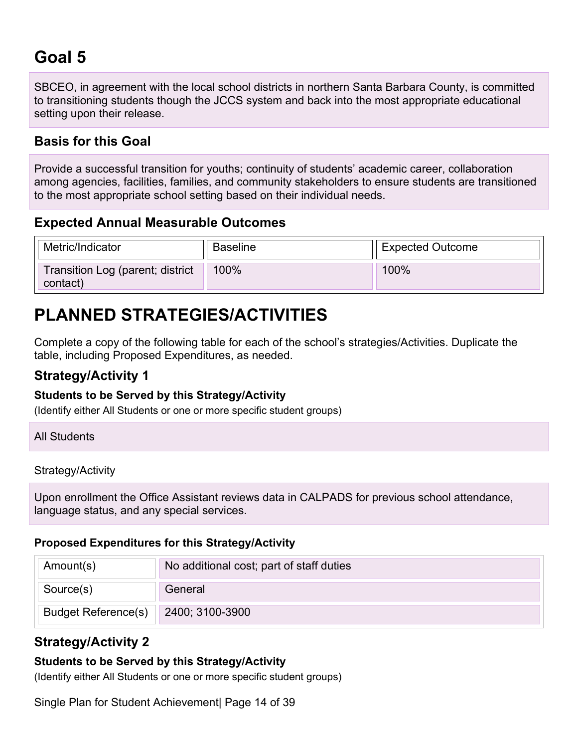## **Goal 5**

SBCEO, in agreement with the local school districts in northern Santa Barbara County, is committed to transitioning students though the JCCS system and back into the most appropriate educational setting upon their release.

### **Basis for this Goal**

Provide a successful transition for youths; continuity of students' academic career, collaboration among agencies, facilities, families, and community stakeholders to ensure students are transitioned to the most appropriate school setting based on their individual needs.

### **Expected Annual Measurable Outcomes**

| Metric/Indicator                             | Baseline | <b>Expected Outcome</b> |
|----------------------------------------------|----------|-------------------------|
| Transition Log (parent; district<br>contact) | $100\%$  | $100\%$                 |

## **PLANNED STRATEGIES/ACTIVITIES**

Complete a copy of the following table for each of the school's strategies/Activities. Duplicate the table, including Proposed Expenditures, as needed.

### **Strategy/Activity 1**

#### **Students to be Served by this Strategy/Activity**

(Identify either All Students or one or more specific student groups)

| <b>All Students</b> |
|---------------------|
|                     |

Strategy/Activity

Upon enrollment the Office Assistant reviews data in CALPADS for previous school attendance, language status, and any special services.

#### **Proposed Expenditures for this Strategy/Activity**

| Amount(s)                  | No additional cost; part of staff duties |
|----------------------------|------------------------------------------|
| Source(s)                  | General                                  |
| <b>Budget Reference(s)</b> | 2400; 3100-3900                          |

### **Strategy/Activity 2**

#### **Students to be Served by this Strategy/Activity**

(Identify either All Students or one or more specific student groups)

Single Plan for Student Achievement| Page 14 of 39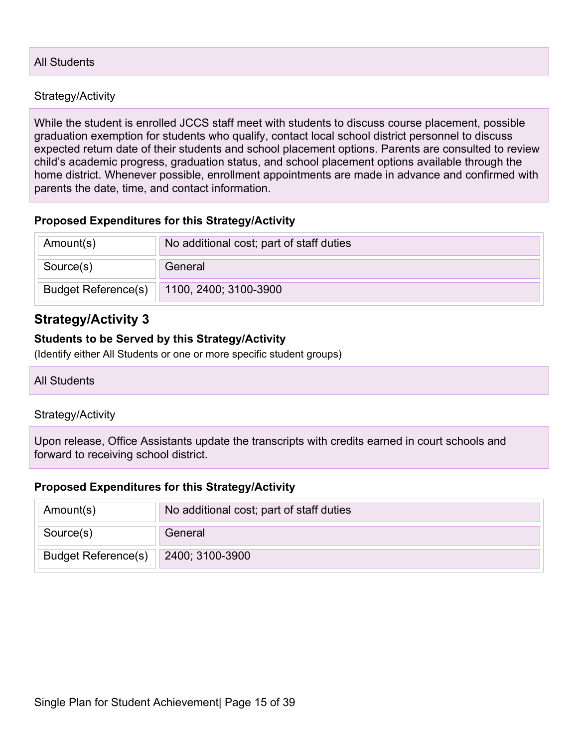#### All Students

#### Strategy/Activity

While the student is enrolled JCCS staff meet with students to discuss course placement, possible graduation exemption for students who qualify, contact local school district personnel to discuss expected return date of their students and school placement options. Parents are consulted to review child's academic progress, graduation status, and school placement options available through the home district. Whenever possible, enrollment appointments are made in advance and confirmed with parents the date, time, and contact information.

#### **Proposed Expenditures for this Strategy/Activity**

| Amount(s)                  | No additional cost; part of staff duties |
|----------------------------|------------------------------------------|
| Source(s)                  | General                                  |
| <b>Budget Reference(s)</b> | 1100, 2400; 3100-3900                    |

#### **Strategy/Activity 3**

#### **Students to be Served by this Strategy/Activity**

(Identify either All Students or one or more specific student groups)

#### All Students

#### Strategy/Activity

Upon release, Office Assistants update the transcripts with credits earned in court schools and forward to receiving school district.

#### **Proposed Expenditures for this Strategy/Activity**

| Amount(s)                  | No additional cost; part of staff duties |
|----------------------------|------------------------------------------|
| Source(s)                  | General                                  |
| <b>Budget Reference(s)</b> | 2400; 3100-3900                          |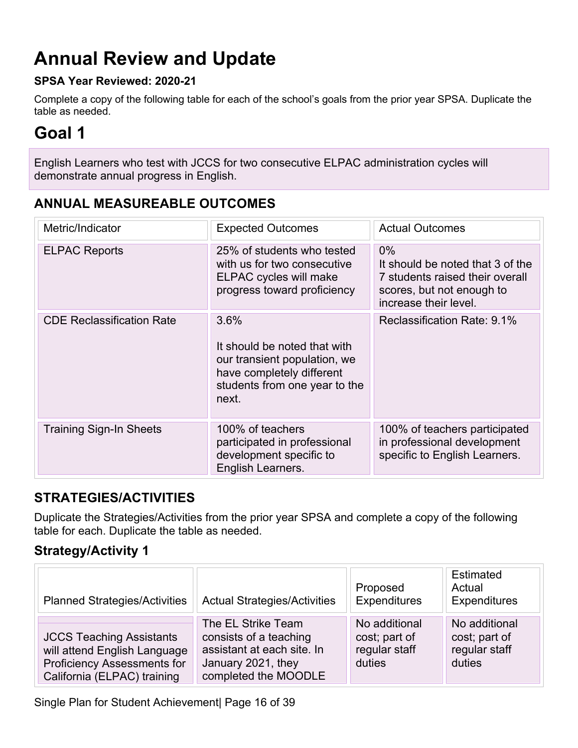## **Annual Review and Update**

#### **SPSA Year Reviewed: 2020-21**

Complete a copy of the following table for each of the school's goals from the prior year SPSA. Duplicate the table as needed.

## **Goal 1**

English Learners who test with JCCS for two consecutive ELPAC administration cycles will demonstrate annual progress in English.

### **ANNUAL MEASUREABLE OUTCOMES**

| Metric/Indicator                 | <b>Expected Outcomes</b>                                                                                                                    | <b>Actual Outcomes</b>                                                                                                             |
|----------------------------------|---------------------------------------------------------------------------------------------------------------------------------------------|------------------------------------------------------------------------------------------------------------------------------------|
| <b>ELPAC Reports</b>             | 25% of students who tested<br>with us for two consecutive<br>ELPAC cycles will make<br>progress toward proficiency                          | $0\%$<br>It should be noted that 3 of the<br>7 students raised their overall<br>scores, but not enough to<br>increase their level. |
| <b>CDE Reclassification Rate</b> | 3.6%<br>It should be noted that with<br>our transient population, we<br>have completely different<br>students from one year to the<br>next. | Reclassification Rate: 9.1%                                                                                                        |
| <b>Training Sign-In Sheets</b>   | 100% of teachers<br>participated in professional<br>development specific to<br>English Learners.                                            | 100% of teachers participated<br>in professional development<br>specific to English Learners.                                      |

### **STRATEGIES/ACTIVITIES**

Duplicate the Strategies/Activities from the prior year SPSA and complete a copy of the following table for each. Duplicate the table as needed.

### **Strategy/Activity 1**

| <b>Planned Strategies/Activities</b>                                                                                                 | <b>Actual Strategies/Activities</b>                                                                                      | Proposed<br><b>Expenditures</b>                           | Estimated<br>Actual<br>Expenditures                       |
|--------------------------------------------------------------------------------------------------------------------------------------|--------------------------------------------------------------------------------------------------------------------------|-----------------------------------------------------------|-----------------------------------------------------------|
| <b>JCCS Teaching Assistants</b><br>will attend English Language<br><b>Proficiency Assessments for</b><br>California (ELPAC) training | The EL Strike Team<br>consists of a teaching<br>assistant at each site. In<br>January 2021, they<br>completed the MOODLE | No additional<br>cost; part of<br>regular staff<br>duties | No additional<br>cost; part of<br>regular staff<br>duties |

Single Plan for Student Achievement| Page 16 of 39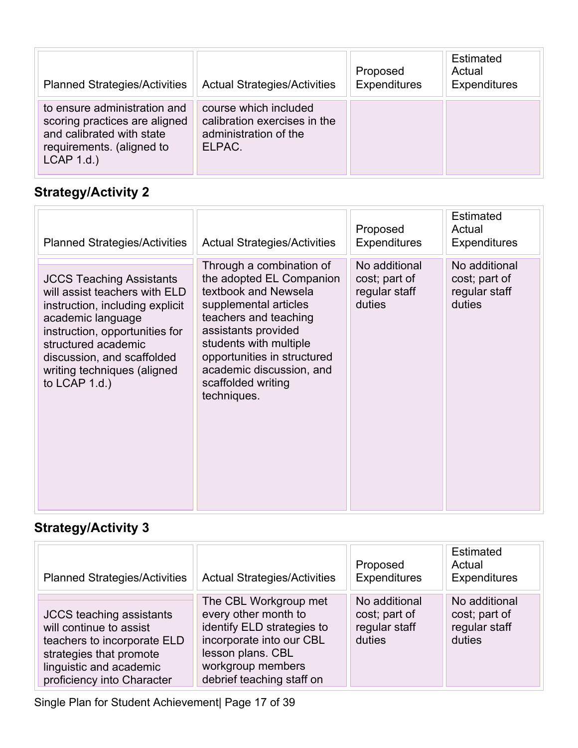| <b>Planned Strategies/Activities</b>                                                                                                  | <b>Actual Strategies/Activities</b>                                                      | Proposed<br><b>Expenditures</b> | Estimated<br>Actual<br><b>Expenditures</b> |
|---------------------------------------------------------------------------------------------------------------------------------------|------------------------------------------------------------------------------------------|---------------------------------|--------------------------------------------|
| to ensure administration and<br>scoring practices are aligned<br>and calibrated with state<br>requirements. (aligned to<br>LCAP 1.d.) | course which included<br>calibration exercises in the<br>administration of the<br>ELPAC. |                                 |                                            |

| <b>Planned Strategies/Activities</b>                                                                                                                                                                                                                              | <b>Actual Strategies/Activities</b>                                                                                                                                                                                                                                             | Proposed<br><b>Expenditures</b>                           | <b>Estimated</b><br>Actual<br><b>Expenditures</b>         |
|-------------------------------------------------------------------------------------------------------------------------------------------------------------------------------------------------------------------------------------------------------------------|---------------------------------------------------------------------------------------------------------------------------------------------------------------------------------------------------------------------------------------------------------------------------------|-----------------------------------------------------------|-----------------------------------------------------------|
| <b>JCCS Teaching Assistants</b><br>will assist teachers with ELD<br>instruction, including explicit<br>academic language<br>instruction, opportunities for<br>structured academic<br>discussion, and scaffolded<br>writing techniques (aligned<br>to $LCAP$ 1.d.) | Through a combination of<br>the adopted EL Companion<br>textbook and Newsela<br>supplemental articles<br>teachers and teaching<br>assistants provided<br>students with multiple<br>opportunities in structured<br>academic discussion, and<br>scaffolded writing<br>techniques. | No additional<br>cost; part of<br>regular staff<br>duties | No additional<br>cost; part of<br>regular staff<br>duties |

## **Strategy/Activity 3**

| <b>Planned Strategies/Activities</b>                                                                                                                                          | <b>Actual Strategies/Activities</b>                                                                                                                                            | Proposed<br>Expenditures                                  | Estimated<br>Actual<br><b>Expenditures</b>                |
|-------------------------------------------------------------------------------------------------------------------------------------------------------------------------------|--------------------------------------------------------------------------------------------------------------------------------------------------------------------------------|-----------------------------------------------------------|-----------------------------------------------------------|
| <b>JCCS</b> teaching assistants<br>will continue to assist<br>teachers to incorporate ELD<br>strategies that promote<br>linguistic and academic<br>proficiency into Character | The CBL Workgroup met<br>every other month to<br>identify ELD strategies to<br>incorporate into our CBL<br>lesson plans. CBL<br>workgroup members<br>debrief teaching staff on | No additional<br>cost; part of<br>regular staff<br>duties | No additional<br>cost; part of<br>regular staff<br>duties |

Single Plan for Student Achievement| Page 17 of 39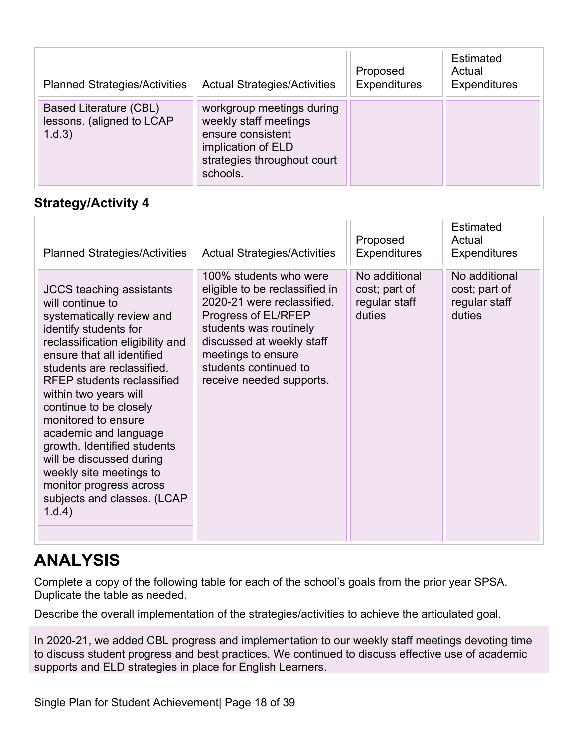| <b>Planned Strategies/Activities</b>                          | <b>Actual Strategies/Activities</b>                                                                                                      | Proposed<br>Expenditures | <b>Estimated</b><br>Actual<br><b>Expenditures</b> |
|---------------------------------------------------------------|------------------------------------------------------------------------------------------------------------------------------------------|--------------------------|---------------------------------------------------|
| Based Literature (CBL)<br>lessons. (aligned to LCAP<br>1.d.3) | workgroup meetings during<br>weekly staff meetings<br>ensure consistent<br>implication of ELD<br>strategies throughout court<br>schools. |                          |                                                   |

| <b>Planned Strategies/Activities</b>                                                                                                                                                                                                                                                                                                                                                                                                                                                                        | <b>Actual Strategies/Activities</b>                                                                                                                                                                                                             | Proposed<br><b>Expenditures</b>                           | <b>Estimated</b><br>Actual<br><b>Expenditures</b>         |
|-------------------------------------------------------------------------------------------------------------------------------------------------------------------------------------------------------------------------------------------------------------------------------------------------------------------------------------------------------------------------------------------------------------------------------------------------------------------------------------------------------------|-------------------------------------------------------------------------------------------------------------------------------------------------------------------------------------------------------------------------------------------------|-----------------------------------------------------------|-----------------------------------------------------------|
| <b>JCCS</b> teaching assistants<br>will continue to<br>systematically review and<br>identify students for<br>reclassification eligibility and<br>ensure that all identified<br>students are reclassified.<br><b>RFEP</b> students reclassified<br>within two years will<br>continue to be closely<br>monitored to ensure<br>academic and language<br>growth. Identified students<br>will be discussed during<br>weekly site meetings to<br>monitor progress across<br>subjects and classes. (LCAP<br>1.d.4) | 100% students who were<br>eligible to be reclassified in<br>2020-21 were reclassified.<br>Progress of EL/RFEP<br>students was routinely<br>discussed at weekly staff<br>meetings to ensure<br>students continued to<br>receive needed supports. | No additional<br>cost; part of<br>regular staff<br>duties | No additional<br>cost; part of<br>regular staff<br>duties |
|                                                                                                                                                                                                                                                                                                                                                                                                                                                                                                             |                                                                                                                                                                                                                                                 |                                                           |                                                           |

## **ANALYSIS**

Complete a copy of the following table for each of the school's goals from the prior year SPSA. Duplicate the table as needed.

Describe the overall implementation of the strategies/activities to achieve the articulated goal.

In 2020-21, we added CBL progress and implementation to our weekly staff meetings devoting time to discuss student progress and best practices. We continued to discuss effective use of academic supports and ELD strategies in place for English Learners.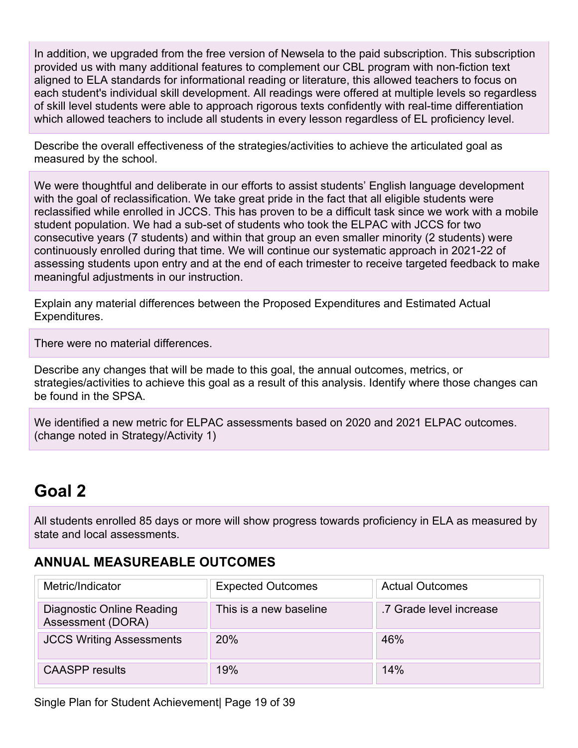In addition, we upgraded from the free version of Newsela to the paid subscription. This subscription provided us with many additional features to complement our CBL program with non-fiction text aligned to ELA standards for informational reading or literature, this allowed teachers to focus on each student's individual skill development. All readings were offered at multiple levels so regardless of skill level students were able to approach rigorous texts confidently with real-time differentiation which allowed teachers to include all students in every lesson regardless of EL proficiency level.

Describe the overall effectiveness of the strategies/activities to achieve the articulated goal as measured by the school.

We were thoughtful and deliberate in our efforts to assist students' English language development with the goal of reclassification. We take great pride in the fact that all eligible students were reclassified while enrolled in JCCS. This has proven to be a difficult task since we work with a mobile student population. We had a sub-set of students who took the ELPAC with JCCS for two consecutive years (7 students) and within that group an even smaller minority (2 students) were continuously enrolled during that time. We will continue our systematic approach in 2021-22 of assessing students upon entry and at the end of each trimester to receive targeted feedback to make meaningful adjustments in our instruction.

Explain any material differences between the Proposed Expenditures and Estimated Actual Expenditures.

There were no material differences.

Describe any changes that will be made to this goal, the annual outcomes, metrics, or strategies/activities to achieve this goal as a result of this analysis. Identify where those changes can be found in the SPSA.

We identified a new metric for ELPAC assessments based on 2020 and 2021 ELPAC outcomes. (change noted in Strategy/Activity 1)

## **Goal 2**

All students enrolled 85 days or more will show progress towards proficiency in ELA as measured by state and local assessments.

### **ANNUAL MEASUREABLE OUTCOMES**

| Metric/Indicator                               | <b>Expected Outcomes</b> | <b>Actual Outcomes</b>  |
|------------------------------------------------|--------------------------|-------------------------|
| Diagnostic Online Reading<br>Assessment (DORA) | This is a new baseline   | .7 Grade level increase |
| <b>JCCS Writing Assessments</b>                | <b>20%</b>               | 46%                     |
| <b>CAASPP</b> results                          | 19%                      | 14%                     |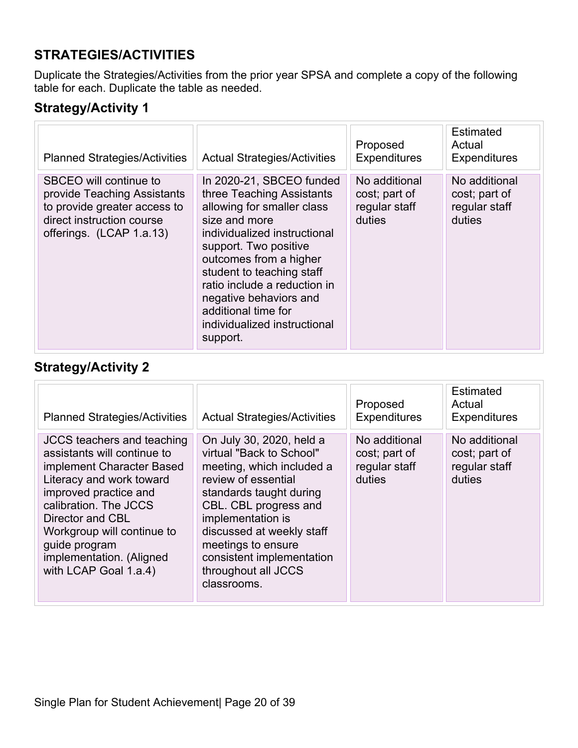## **STRATEGIES/ACTIVITIES**

Duplicate the Strategies/Activities from the prior year SPSA and complete a copy of the following table for each. Duplicate the table as needed.

### **Strategy/Activity 1**

| <b>Planned Strategies/Activities</b>                                                                                                           | <b>Actual Strategies/Activities</b>                                                                                                                                                                                                                                                                                                               | Proposed<br><b>Expenditures</b>                           | Estimated<br>Actual<br><b>Expenditures</b>                |
|------------------------------------------------------------------------------------------------------------------------------------------------|---------------------------------------------------------------------------------------------------------------------------------------------------------------------------------------------------------------------------------------------------------------------------------------------------------------------------------------------------|-----------------------------------------------------------|-----------------------------------------------------------|
| SBCEO will continue to<br>provide Teaching Assistants<br>to provide greater access to<br>direct instruction course<br>offerings. (LCAP 1.a.13) | In 2020-21, SBCEO funded<br>three Teaching Assistants<br>allowing for smaller class<br>size and more<br>individualized instructional<br>support. Two positive<br>outcomes from a higher<br>student to teaching staff<br>ratio include a reduction in<br>negative behaviors and<br>additional time for<br>individualized instructional<br>support. | No additional<br>cost; part of<br>regular staff<br>duties | No additional<br>cost; part of<br>regular staff<br>duties |

## **Strategy/Activity 2**

| <b>Planned Strategies/Activities</b>                                                                                                                                                                                                                                                                | <b>Actual Strategies/Activities</b>                                                                                                                                                                                                                                                                     | Proposed<br><b>Expenditures</b>                           | Estimated<br>Actual<br><b>Expenditures</b>                |
|-----------------------------------------------------------------------------------------------------------------------------------------------------------------------------------------------------------------------------------------------------------------------------------------------------|---------------------------------------------------------------------------------------------------------------------------------------------------------------------------------------------------------------------------------------------------------------------------------------------------------|-----------------------------------------------------------|-----------------------------------------------------------|
| <b>JCCS</b> teachers and teaching<br>assistants will continue to<br>implement Character Based<br>Literacy and work toward<br>improved practice and<br>calibration. The JCCS<br>Director and CBL<br>Workgroup will continue to<br>guide program<br>implementation. (Aligned<br>with LCAP Goal 1.a.4) | On July 30, 2020, held a<br>virtual "Back to School"<br>meeting, which included a<br>review of essential<br>standards taught during<br>CBL. CBL progress and<br>implementation is<br>discussed at weekly staff<br>meetings to ensure<br>consistent implementation<br>throughout all JCCS<br>classrooms. | No additional<br>cost; part of<br>regular staff<br>duties | No additional<br>cost; part of<br>regular staff<br>duties |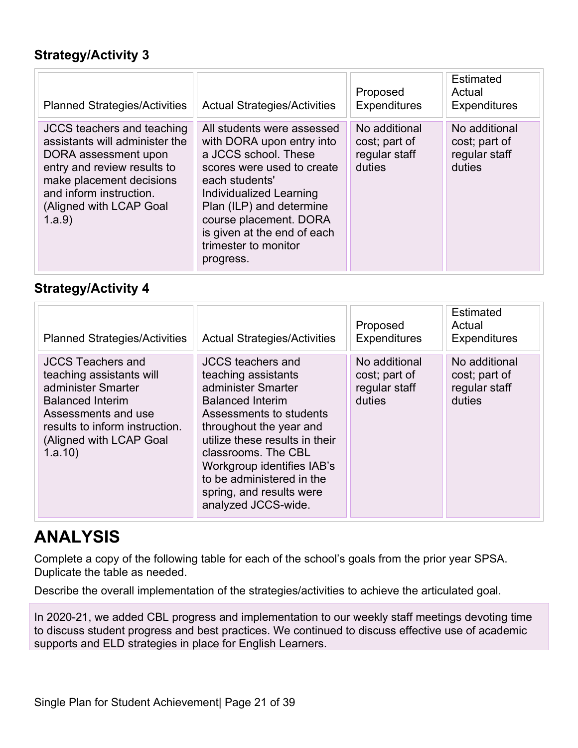| <b>Planned Strategies/Activities</b>                                                                                                                                                                                   | <b>Actual Strategies/Activities</b>                                                                                                                                                                                                                                                  | Proposed<br><b>Expenditures</b>                           | Estimated<br>Actual<br><b>Expenditures</b>                |
|------------------------------------------------------------------------------------------------------------------------------------------------------------------------------------------------------------------------|--------------------------------------------------------------------------------------------------------------------------------------------------------------------------------------------------------------------------------------------------------------------------------------|-----------------------------------------------------------|-----------------------------------------------------------|
| <b>JCCS</b> teachers and teaching<br>assistants will administer the<br>DORA assessment upon<br>entry and review results to<br>make placement decisions<br>and inform instruction.<br>(Aligned with LCAP Goal<br>1.a.9) | All students were assessed<br>with DORA upon entry into<br>a JCCS school. These<br>scores were used to create<br>each students'<br>Individualized Learning<br>Plan (ILP) and determine<br>course placement. DORA<br>is given at the end of each<br>trimester to monitor<br>progress. | No additional<br>cost; part of<br>regular staff<br>duties | No additional<br>cost; part of<br>regular staff<br>duties |

### **Strategy/Activity 4**

| <b>Planned Strategies/Activities</b>                                                                                                                                                                | <b>Actual Strategies/Activities</b>                                                                                                                                                                                                                                                                                           | Proposed<br><b>Expenditures</b>                           | Estimated<br>Actual<br><b>Expenditures</b>                |
|-----------------------------------------------------------------------------------------------------------------------------------------------------------------------------------------------------|-------------------------------------------------------------------------------------------------------------------------------------------------------------------------------------------------------------------------------------------------------------------------------------------------------------------------------|-----------------------------------------------------------|-----------------------------------------------------------|
| <b>JCCS Teachers and</b><br>teaching assistants will<br>administer Smarter<br><b>Balanced Interim</b><br>Assessments and use<br>results to inform instruction.<br>(Aligned with LCAP Goal<br>1.a.10 | <b>JCCS</b> teachers and<br>teaching assistants<br>administer Smarter<br><b>Balanced Interim</b><br>Assessments to students<br>throughout the year and<br>utilize these results in their<br>classrooms. The CBL<br>Workgroup identifies IAB's<br>to be administered in the<br>spring, and results were<br>analyzed JCCS-wide. | No additional<br>cost; part of<br>regular staff<br>duties | No additional<br>cost; part of<br>regular staff<br>duties |

## **ANALYSIS**

Complete a copy of the following table for each of the school's goals from the prior year SPSA. Duplicate the table as needed.

Describe the overall implementation of the strategies/activities to achieve the articulated goal.

In 2020-21, we added CBL progress and implementation to our weekly staff meetings devoting time to discuss student progress and best practices. We continued to discuss effective use of academic supports and ELD strategies in place for English Learners.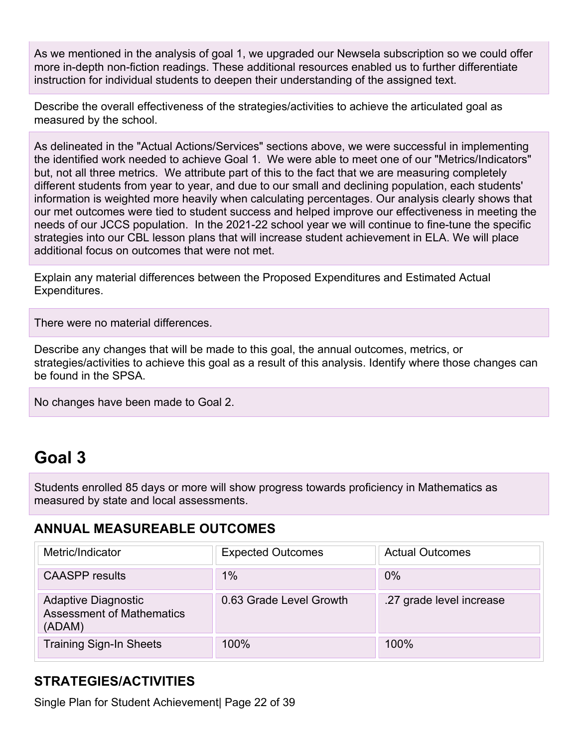As we mentioned in the analysis of goal 1, we upgraded our Newsela subscription so we could offer more in-depth non-fiction readings. These additional resources enabled us to further differentiate instruction for individual students to deepen their understanding of the assigned text.

Describe the overall effectiveness of the strategies/activities to achieve the articulated goal as measured by the school.

As delineated in the "Actual Actions/Services" sections above, we were successful in implementing the identified work needed to achieve Goal 1. We were able to meet one of our "Metrics/Indicators" but, not all three metrics. We attribute part of this to the fact that we are measuring completely different students from year to year, and due to our small and declining population, each students' information is weighted more heavily when calculating percentages. Our analysis clearly shows that our met outcomes were tied to student success and helped improve our effectiveness in meeting the needs of our JCCS population. In the 2021-22 school year we will continue to fine-tune the specific strategies into our CBL lesson plans that will increase student achievement in ELA. We will place additional focus on outcomes that were not met.

Explain any material differences between the Proposed Expenditures and Estimated Actual Expenditures.

There were no material differences.

Describe any changes that will be made to this goal, the annual outcomes, metrics, or strategies/activities to achieve this goal as a result of this analysis. Identify where those changes can be found in the SPSA.

No changes have been made to Goal 2.

## **Goal 3**

Students enrolled 85 days or more will show progress towards proficiency in Mathematics as measured by state and local assessments.

#### **ANNUAL MEASUREABLE OUTCOMES**

| Metric/Indicator                                                         | <b>Expected Outcomes</b> | <b>Actual Outcomes</b>   |
|--------------------------------------------------------------------------|--------------------------|--------------------------|
| <b>CAASPP</b> results                                                    | 1%                       | $0\%$                    |
| <b>Adaptive Diagnostic</b><br><b>Assessment of Mathematics</b><br>(ADAM) | 0.63 Grade Level Growth  | .27 grade level increase |
| <b>Training Sign-In Sheets</b>                                           | 100%                     | 100%                     |

### **STRATEGIES/ACTIVITIES**

Single Plan for Student Achievement| Page 22 of 39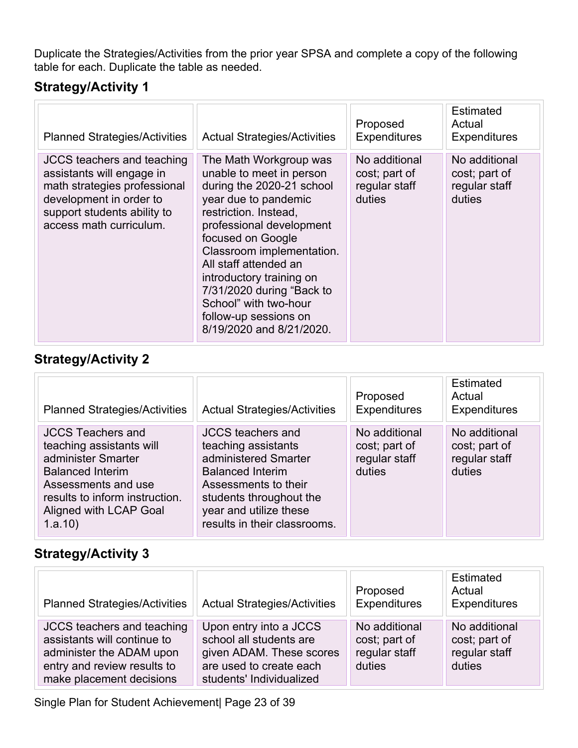Duplicate the Strategies/Activities from the prior year SPSA and complete a copy of the following table for each. Duplicate the table as needed.

### **Strategy/Activity 1**

| <b>Planned Strategies/Activities</b>                                                                                                                                                | <b>Actual Strategies/Activities</b>                                                                                                                                                                                                                                                                                                                                            | Proposed<br><b>Expenditures</b>                           | <b>Estimated</b><br>Actual<br><b>Expenditures</b>         |
|-------------------------------------------------------------------------------------------------------------------------------------------------------------------------------------|--------------------------------------------------------------------------------------------------------------------------------------------------------------------------------------------------------------------------------------------------------------------------------------------------------------------------------------------------------------------------------|-----------------------------------------------------------|-----------------------------------------------------------|
| <b>JCCS</b> teachers and teaching<br>assistants will engage in<br>math strategies professional<br>development in order to<br>support students ability to<br>access math curriculum. | The Math Workgroup was<br>unable to meet in person<br>during the 2020-21 school<br>year due to pandemic<br>restriction. Instead,<br>professional development<br>focused on Google<br>Classroom implementation.<br>All staff attended an<br>introductory training on<br>7/31/2020 during "Back to<br>School" with two-hour<br>follow-up sessions on<br>8/19/2020 and 8/21/2020. | No additional<br>cost; part of<br>regular staff<br>duties | No additional<br>cost; part of<br>regular staff<br>duties |

### **Strategy/Activity 2**

| <b>Planned Strategies/Activities</b>                                                                                                                                                                | <b>Actual Strategies/Activities</b>                                                                                                                                                                             | Proposed<br><b>Expenditures</b>                           | Estimated<br>Actual<br><b>Expenditures</b>                |
|-----------------------------------------------------------------------------------------------------------------------------------------------------------------------------------------------------|-----------------------------------------------------------------------------------------------------------------------------------------------------------------------------------------------------------------|-----------------------------------------------------------|-----------------------------------------------------------|
| <b>JCCS Teachers and</b><br>teaching assistants will<br>administer Smarter<br><b>Balanced Interim</b><br>Assessments and use<br>results to inform instruction.<br>Aligned with LCAP Goal<br>1.a.10) | <b>JCCS</b> teachers and<br>teaching assistants<br>administered Smarter<br><b>Balanced Interim</b><br>Assessments to their<br>students throughout the<br>year and utilize these<br>results in their classrooms. | No additional<br>cost; part of<br>regular staff<br>duties | No additional<br>cost; part of<br>regular staff<br>duties |

## **Strategy/Activity 3**

| <b>Planned Strategies/Activities</b>                                                                                                                    | <b>Actual Strategies/Activities</b>                                                                                                  | Proposed<br>Expenditures                                  | Estimated<br>Actual<br>Expenditures                       |
|---------------------------------------------------------------------------------------------------------------------------------------------------------|--------------------------------------------------------------------------------------------------------------------------------------|-----------------------------------------------------------|-----------------------------------------------------------|
| <b>JCCS</b> teachers and teaching<br>assistants will continue to<br>administer the ADAM upon<br>entry and review results to<br>make placement decisions | Upon entry into a JCCS<br>school all students are<br>given ADAM. These scores<br>are used to create each<br>students' Individualized | No additional<br>cost; part of<br>regular staff<br>duties | No additional<br>cost; part of<br>regular staff<br>duties |

Single Plan for Student Achievement| Page 23 of 39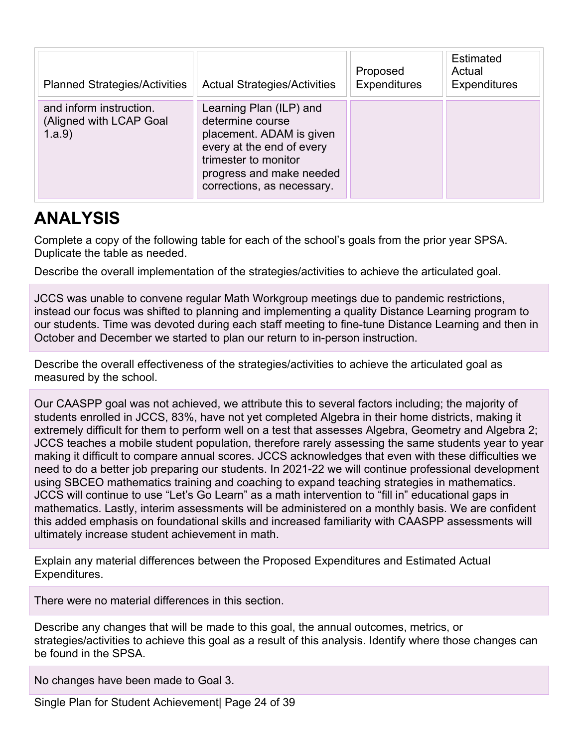| <b>Planned Strategies/Activities</b>                         | <b>Actual Strategies/Activities</b>                                                                                                                                                    | Proposed<br><b>Expenditures</b> | <b>Estimated</b><br>Actual<br><b>Expenditures</b> |
|--------------------------------------------------------------|----------------------------------------------------------------------------------------------------------------------------------------------------------------------------------------|---------------------------------|---------------------------------------------------|
| and inform instruction.<br>(Aligned with LCAP Goal<br>1.a.9) | Learning Plan (ILP) and<br>determine course<br>placement. ADAM is given<br>every at the end of every<br>trimester to monitor<br>progress and make needed<br>corrections, as necessary. |                                 |                                                   |

## **ANALYSIS**

Complete a copy of the following table for each of the school's goals from the prior year SPSA. Duplicate the table as needed.

Describe the overall implementation of the strategies/activities to achieve the articulated goal.

JCCS was unable to convene regular Math Workgroup meetings due to pandemic restrictions, instead our focus was shifted to planning and implementing a quality Distance Learning program to our students. Time was devoted during each staff meeting to fine-tune Distance Learning and then in October and December we started to plan our return to in-person instruction.

Describe the overall effectiveness of the strategies/activities to achieve the articulated goal as measured by the school.

Our CAASPP goal was not achieved, we attribute this to several factors including; the majority of students enrolled in JCCS, 83%, have not yet completed Algebra in their home districts, making it extremely difficult for them to perform well on a test that assesses Algebra, Geometry and Algebra 2; JCCS teaches a mobile student population, therefore rarely assessing the same students year to year making it difficult to compare annual scores. JCCS acknowledges that even with these difficulties we need to do a better job preparing our students. In 2021-22 we will continue professional development using SBCEO mathematics training and coaching to expand teaching strategies in mathematics. JCCS will continue to use "Let's Go Learn" as a math intervention to "fill in" educational gaps in mathematics. Lastly, interim assessments will be administered on a monthly basis. We are confident this added emphasis on foundational skills and increased familiarity with CAASPP assessments will ultimately increase student achievement in math.

Explain any material differences between the Proposed Expenditures and Estimated Actual Expenditures.

There were no material differences in this section.

Describe any changes that will be made to this goal, the annual outcomes, metrics, or strategies/activities to achieve this goal as a result of this analysis. Identify where those changes can be found in the SPSA.

No changes have been made to Goal 3.

Single Plan for Student Achievement| Page 24 of 39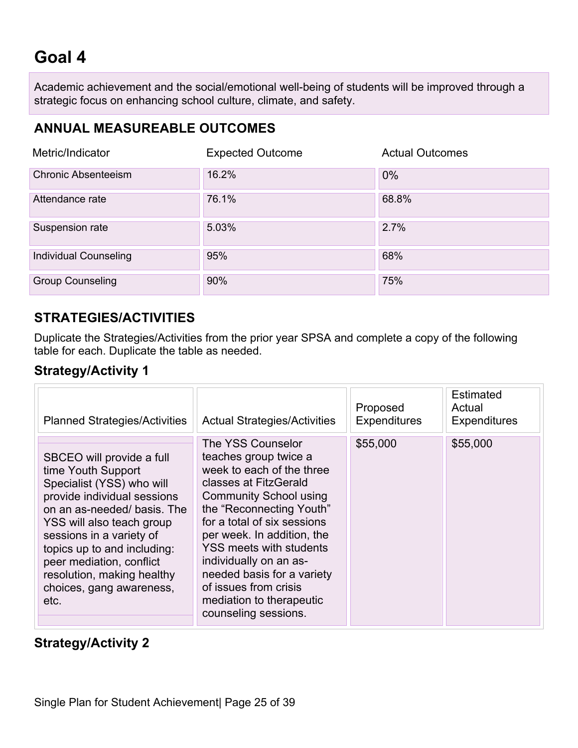## **Goal 4**

Academic achievement and the social/emotional well-being of students will be improved through a strategic focus on enhancing school culture, climate, and safety.

## **ANNUAL MEASUREABLE OUTCOMES**

| Metric/Indicator             | <b>Expected Outcome</b> | <b>Actual Outcomes</b> |
|------------------------------|-------------------------|------------------------|
| <b>Chronic Absenteeism</b>   | 16.2%                   | $0\%$                  |
| Attendance rate              | 76.1%                   | 68.8%                  |
| Suspension rate              | 5.03%                   | 2.7%                   |
| <b>Individual Counseling</b> | 95%                     | 68%                    |
| <b>Group Counseling</b>      | 90%                     | 75%                    |

### **STRATEGIES/ACTIVITIES**

Duplicate the Strategies/Activities from the prior year SPSA and complete a copy of the following table for each. Duplicate the table as needed.

### **Strategy/Activity 1**

| <b>Planned Strategies/Activities</b>                                                                                                                                                                                                                                                                                            | <b>Actual Strategies/Activities</b>                                                                                                                                                                                                                                                                                                                                                               | Proposed<br><b>Expenditures</b> | <b>Estimated</b><br>Actual<br><b>Expenditures</b> |
|---------------------------------------------------------------------------------------------------------------------------------------------------------------------------------------------------------------------------------------------------------------------------------------------------------------------------------|---------------------------------------------------------------------------------------------------------------------------------------------------------------------------------------------------------------------------------------------------------------------------------------------------------------------------------------------------------------------------------------------------|---------------------------------|---------------------------------------------------|
| SBCEO will provide a full<br>time Youth Support<br>Specialist (YSS) who will<br>provide individual sessions<br>on an as-needed/basis. The<br>YSS will also teach group<br>sessions in a variety of<br>topics up to and including:<br>peer mediation, conflict<br>resolution, making healthy<br>choices, gang awareness,<br>etc. | The YSS Counselor<br>teaches group twice a<br>week to each of the three<br>classes at FitzGerald<br><b>Community School using</b><br>the "Reconnecting Youth"<br>for a total of six sessions<br>per week. In addition, the<br><b>YSS meets with students</b><br>individually on an as-<br>needed basis for a variety<br>of issues from crisis<br>mediation to therapeutic<br>counseling sessions. | \$55,000                        | \$55,000                                          |

### **Strategy/Activity 2**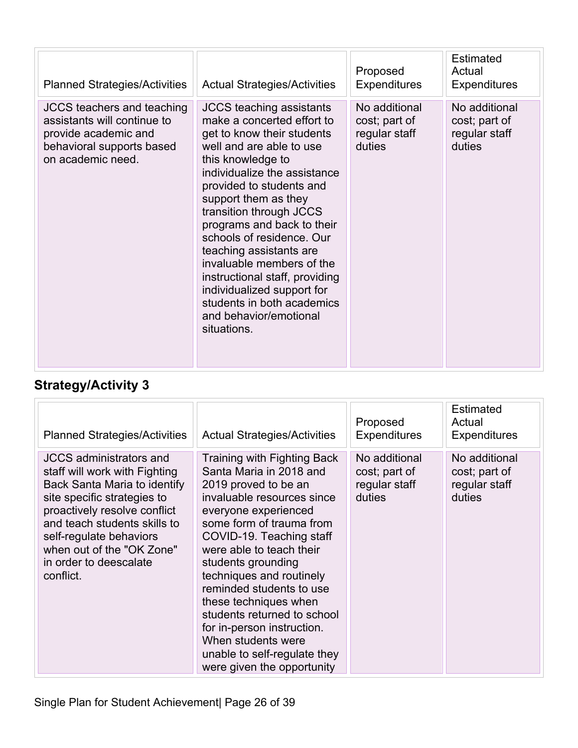| <b>Planned Strategies/Activities</b>                                                                                                       | <b>Actual Strategies/Activities</b>                                                                                                                                                                                                                                                                                                                                                                                                                                                                                   | Proposed<br><b>Expenditures</b>                           | <b>Estimated</b><br>Actual<br><b>Expenditures</b>         |
|--------------------------------------------------------------------------------------------------------------------------------------------|-----------------------------------------------------------------------------------------------------------------------------------------------------------------------------------------------------------------------------------------------------------------------------------------------------------------------------------------------------------------------------------------------------------------------------------------------------------------------------------------------------------------------|-----------------------------------------------------------|-----------------------------------------------------------|
| <b>JCCS</b> teachers and teaching<br>assistants will continue to<br>provide academic and<br>behavioral supports based<br>on academic need. | <b>JCCS teaching assistants</b><br>make a concerted effort to<br>get to know their students<br>well and are able to use<br>this knowledge to<br>individualize the assistance<br>provided to students and<br>support them as they<br>transition through JCCS<br>programs and back to their<br>schools of residence, Our<br>teaching assistants are<br>invaluable members of the<br>instructional staff, providing<br>individualized support for<br>students in both academics<br>and behavior/emotional<br>situations. | No additional<br>cost; part of<br>regular staff<br>duties | No additional<br>cost; part of<br>regular staff<br>duties |

| <b>Planned Strategies/Activities</b>                                                                                                                                                                                                                                                          | <b>Actual Strategies/Activities</b>                                                                                                                                                                                                                                                                                                                                                                                                                                              | Proposed<br><b>Expenditures</b>                           | <b>Estimated</b><br>Actual<br><b>Expenditures</b>         |
|-----------------------------------------------------------------------------------------------------------------------------------------------------------------------------------------------------------------------------------------------------------------------------------------------|----------------------------------------------------------------------------------------------------------------------------------------------------------------------------------------------------------------------------------------------------------------------------------------------------------------------------------------------------------------------------------------------------------------------------------------------------------------------------------|-----------------------------------------------------------|-----------------------------------------------------------|
| <b>JCCS</b> administrators and<br>staff will work with Fighting<br>Back Santa Maria to identify<br>site specific strategies to<br>proactively resolve conflict<br>and teach students skills to<br>self-regulate behaviors<br>when out of the "OK Zone"<br>in order to deescalate<br>conflict. | Training with Fighting Back<br>Santa Maria in 2018 and<br>2019 proved to be an<br>invaluable resources since<br>everyone experienced<br>some form of trauma from<br>COVID-19. Teaching staff<br>were able to teach their<br>students grounding<br>techniques and routinely<br>reminded students to use<br>these techniques when<br>students returned to school<br>for in-person instruction.<br>When students were<br>unable to self-regulate they<br>were given the opportunity | No additional<br>cost; part of<br>regular staff<br>duties | No additional<br>cost; part of<br>regular staff<br>duties |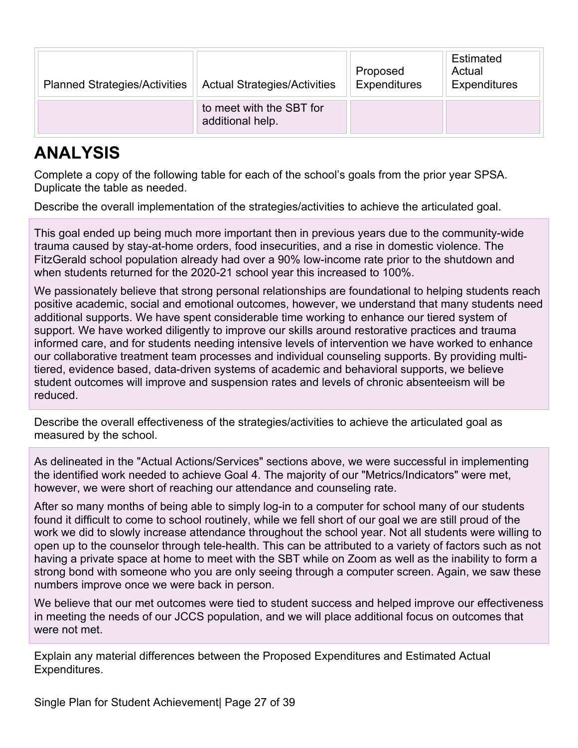| <b>Planned Strategies/Activities</b> | <b>Actual Strategies/Activities</b>          | Proposed<br>Expenditures | Estimated<br>Actual<br>Expenditures |
|--------------------------------------|----------------------------------------------|--------------------------|-------------------------------------|
|                                      | to meet with the SBT for<br>additional help. |                          |                                     |

## **ANALYSIS**

Complete a copy of the following table for each of the school's goals from the prior year SPSA. Duplicate the table as needed.

Describe the overall implementation of the strategies/activities to achieve the articulated goal.

This goal ended up being much more important then in previous years due to the community-wide trauma caused by stay-at-home orders, food insecurities, and a rise in domestic violence. The FitzGerald school population already had over a 90% low-income rate prior to the shutdown and when students returned for the 2020-21 school year this increased to 100%.

We passionately believe that strong personal relationships are foundational to helping students reach positive academic, social and emotional outcomes, however, we understand that many students need additional supports. We have spent considerable time working to enhance our tiered system of support. We have worked diligently to improve our skills around restorative practices and trauma informed care, and for students needing intensive levels of intervention we have worked to enhance our collaborative treatment team processes and individual counseling supports. By providing multitiered, evidence based, data-driven systems of academic and behavioral supports, we believe student outcomes will improve and suspension rates and levels of chronic absenteeism will be reduced.

Describe the overall effectiveness of the strategies/activities to achieve the articulated goal as measured by the school.

As delineated in the "Actual Actions/Services" sections above, we were successful in implementing the identified work needed to achieve Goal 4. The majority of our "Metrics/Indicators" were met, however, we were short of reaching our attendance and counseling rate.

After so many months of being able to simply log-in to a computer for school many of our students found it difficult to come to school routinely, while we fell short of our goal we are still proud of the work we did to slowly increase attendance throughout the school year. Not all students were willing to open up to the counselor through tele-health. This can be attributed to a variety of factors such as not having a private space at home to meet with the SBT while on Zoom as well as the inability to form a strong bond with someone who you are only seeing through a computer screen. Again, we saw these numbers improve once we were back in person.

We believe that our met outcomes were tied to student success and helped improve our effectiveness in meeting the needs of our JCCS population, and we will place additional focus on outcomes that were not met.

Explain any material differences between the Proposed Expenditures and Estimated Actual Expenditures.

Single Plan for Student Achievement| Page 27 of 39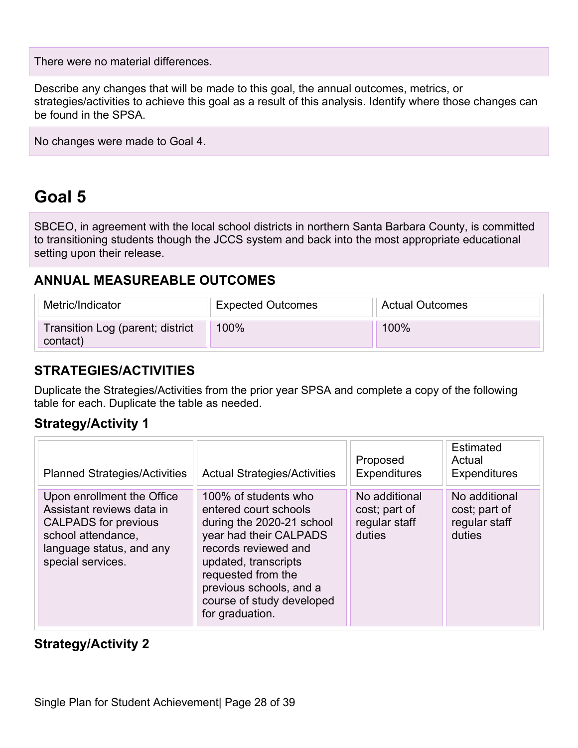There were no material differences.

Describe any changes that will be made to this goal, the annual outcomes, metrics, or strategies/activities to achieve this goal as a result of this analysis. Identify where those changes can be found in the SPSA.

No changes were made to Goal 4.

## **Goal 5**

SBCEO, in agreement with the local school districts in northern Santa Barbara County, is committed to transitioning students though the JCCS system and back into the most appropriate educational setting upon their release.

### **ANNUAL MEASUREABLE OUTCOMES**

| Metric/Indicator                             | <b>Expected Outcomes</b> | <b>Actual Outcomes</b> |
|----------------------------------------------|--------------------------|------------------------|
| Transition Log (parent; district<br>contact) | 100%                     | $100\%$                |

### **STRATEGIES/ACTIVITIES**

Duplicate the Strategies/Activities from the prior year SPSA and complete a copy of the following table for each. Duplicate the table as needed.

### **Strategy/Activity 1**

| <b>Planned Strategies/Activities</b>                                                                                                                          | <b>Actual Strategies/Activities</b>                                                                                                                                                                                                                   | Proposed<br><b>Expenditures</b>                           | Estimated<br>Actual<br><b>Expenditures</b>                |
|---------------------------------------------------------------------------------------------------------------------------------------------------------------|-------------------------------------------------------------------------------------------------------------------------------------------------------------------------------------------------------------------------------------------------------|-----------------------------------------------------------|-----------------------------------------------------------|
| Upon enrollment the Office<br>Assistant reviews data in<br><b>CALPADS</b> for previous<br>school attendance,<br>language status, and any<br>special services. | 100% of students who<br>entered court schools<br>during the 2020-21 school<br>year had their CALPADS<br>records reviewed and<br>updated, transcripts<br>requested from the<br>previous schools, and a<br>course of study developed<br>for graduation. | No additional<br>cost; part of<br>regular staff<br>duties | No additional<br>cost; part of<br>regular staff<br>duties |

### **Strategy/Activity 2**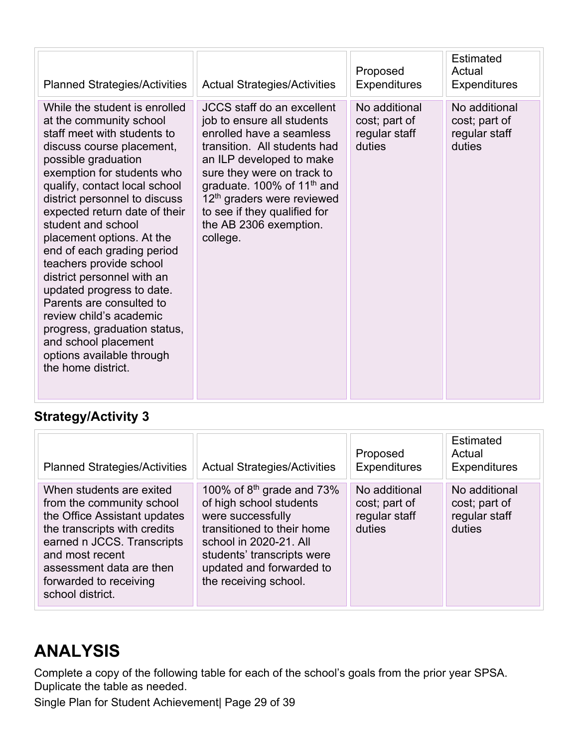| <b>Planned Strategies/Activities</b>                                                                                                                                                                                                                                                                                                                                                                                                                                                                                                                                                                                  | <b>Actual Strategies/Activities</b>                                                                                                                                                                                                                                                                                                             | Proposed<br><b>Expenditures</b>                           | <b>Estimated</b><br>Actual<br><b>Expenditures</b>         |
|-----------------------------------------------------------------------------------------------------------------------------------------------------------------------------------------------------------------------------------------------------------------------------------------------------------------------------------------------------------------------------------------------------------------------------------------------------------------------------------------------------------------------------------------------------------------------------------------------------------------------|-------------------------------------------------------------------------------------------------------------------------------------------------------------------------------------------------------------------------------------------------------------------------------------------------------------------------------------------------|-----------------------------------------------------------|-----------------------------------------------------------|
| While the student is enrolled<br>at the community school<br>staff meet with students to<br>discuss course placement,<br>possible graduation<br>exemption for students who<br>qualify, contact local school<br>district personnel to discuss<br>expected return date of their<br>student and school<br>placement options. At the<br>end of each grading period<br>teachers provide school<br>district personnel with an<br>updated progress to date.<br>Parents are consulted to<br>review child's academic<br>progress, graduation status,<br>and school placement<br>options available through<br>the home district. | <b>JCCS</b> staff do an excellent<br>job to ensure all students<br>enrolled have a seamless<br>transition. All students had<br>an ILP developed to make<br>sure they were on track to<br>graduate. 100% of 11 <sup>th</sup> and<br>12 <sup>th</sup> graders were reviewed<br>to see if they qualified for<br>the AB 2306 exemption.<br>college. | No additional<br>cost; part of<br>regular staff<br>duties | No additional<br>cost; part of<br>regular staff<br>duties |

| <b>Planned Strategies/Activities</b>                                                                                                                                                                                                             | <b>Actual Strategies/Activities</b>                                                                                                                                                                                    | Proposed<br><b>Expenditures</b>                           | Estimated<br>Actual<br><b>Expenditures</b>                |
|--------------------------------------------------------------------------------------------------------------------------------------------------------------------------------------------------------------------------------------------------|------------------------------------------------------------------------------------------------------------------------------------------------------------------------------------------------------------------------|-----------------------------------------------------------|-----------------------------------------------------------|
| When students are exited<br>from the community school<br>the Office Assistant updates<br>the transcripts with credits<br>earned n JCCS. Transcripts<br>and most recent<br>assessment data are then<br>forwarded to receiving<br>school district. | 100% of $8th$ grade and 73%<br>of high school students<br>were successfully<br>transitioned to their home<br>school in 2020-21. All<br>students' transcripts were<br>updated and forwarded to<br>the receiving school. | No additional<br>cost; part of<br>regular staff<br>duties | No additional<br>cost; part of<br>regular staff<br>duties |

## **ANALYSIS**

Complete a copy of the following table for each of the school's goals from the prior year SPSA. Duplicate the table as needed.

Single Plan for Student Achievement| Page 29 of 39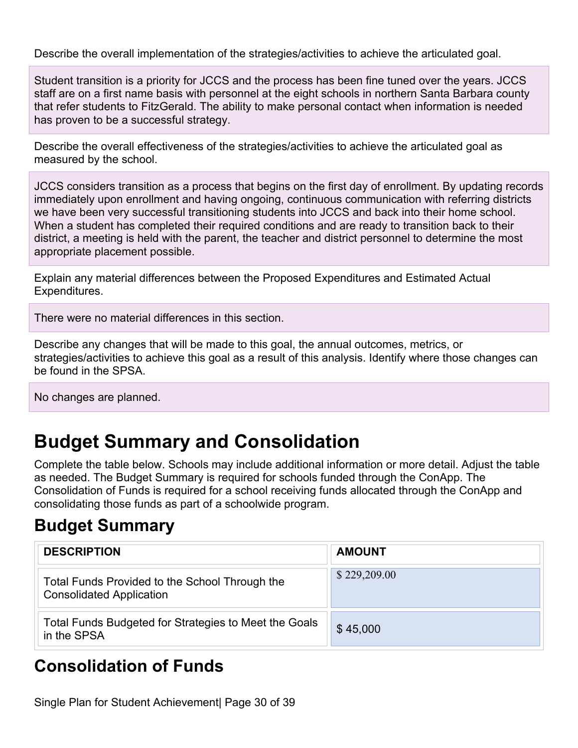Describe the overall implementation of the strategies/activities to achieve the articulated goal.

Student transition is a priority for JCCS and the process has been fine tuned over the years. JCCS staff are on a first name basis with personnel at the eight schools in northern Santa Barbara county that refer students to FitzGerald. The ability to make personal contact when information is needed has proven to be a successful strategy.

Describe the overall effectiveness of the strategies/activities to achieve the articulated goal as measured by the school.

JCCS considers transition as a process that begins on the first day of enrollment. By updating records immediately upon enrollment and having ongoing, continuous communication with referring districts we have been very successful transitioning students into JCCS and back into their home school. When a student has completed their required conditions and are ready to transition back to their district, a meeting is held with the parent, the teacher and district personnel to determine the most appropriate placement possible.

Explain any material differences between the Proposed Expenditures and Estimated Actual Expenditures.

There were no material differences in this section.

Describe any changes that will be made to this goal, the annual outcomes, metrics, or strategies/activities to achieve this goal as a result of this analysis. Identify where those changes can be found in the SPSA.

No changes are planned.

## **Budget Summary and Consolidation**

Complete the table below. Schools may include additional information or more detail. Adjust the table as needed. The Budget Summary is required for schools funded through the ConApp. The Consolidation of Funds is required for a school receiving funds allocated through the ConApp and consolidating those funds as part of a schoolwide program.

## **Budget Summary**

| <b>DESCRIPTION</b>                                                                | <b>AMOUNT</b> |
|-----------------------------------------------------------------------------------|---------------|
| Total Funds Provided to the School Through the<br><b>Consolidated Application</b> | \$229,209.00  |
| Total Funds Budgeted for Strategies to Meet the Goals<br>in the SPSA              | \$45,000      |

## **Consolidation of Funds**

Single Plan for Student Achievement| Page 30 of 39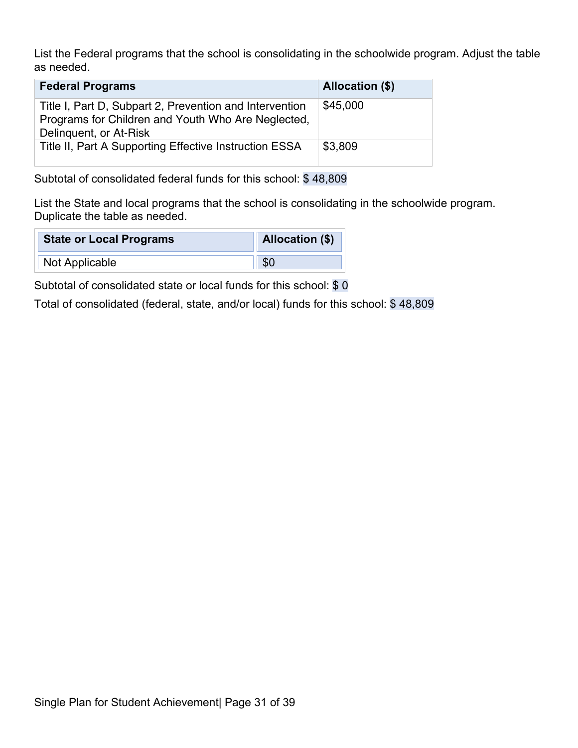List the Federal programs that the school is consolidating in the schoolwide program. Adjust the table as needed.

| <b>Federal Programs</b>                                                                                                                 | <b>Allocation (\$)</b> |
|-----------------------------------------------------------------------------------------------------------------------------------------|------------------------|
| Title I, Part D, Subpart 2, Prevention and Intervention<br>Programs for Children and Youth Who Are Neglected,<br>Delinguent, or At-Risk | \$45,000               |
| Title II, Part A Supporting Effective Instruction ESSA                                                                                  | \$3,809                |

Subtotal of consolidated federal funds for this school: \$ 48,809

List the State and local programs that the school is consolidating in the schoolwide program. Duplicate the table as needed.

| <b>State or Local Programs</b> | Allocation (\$) |
|--------------------------------|-----------------|
| Not Applicable                 | \$(             |

Subtotal of consolidated state or local funds for this school: \$0

Total of consolidated (federal, state, and/or local) funds for this school: \$ 48,809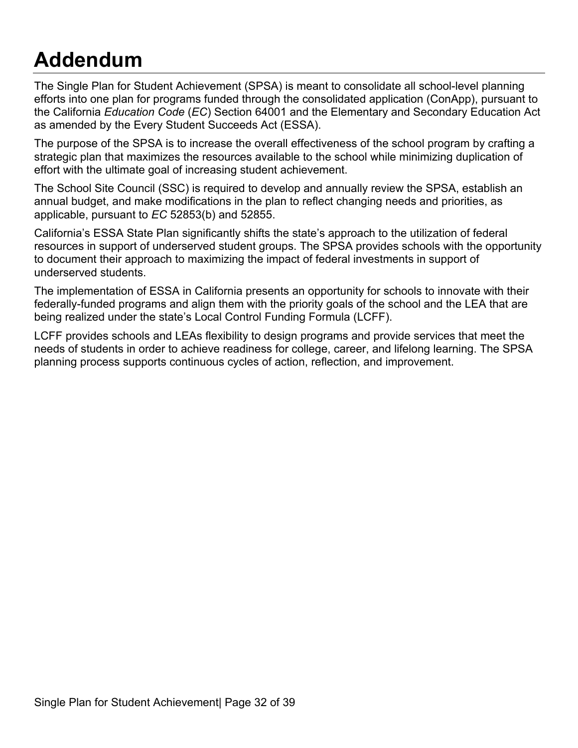# **Addendum**

The Single Plan for Student Achievement (SPSA) is meant to consolidate all school-level planning efforts into one plan for programs funded through the consolidated application (ConApp), pursuant to the California *Education Code* (*EC*) Section 64001 and the Elementary and Secondary Education Act as amended by the Every Student Succeeds Act (ESSA).

The purpose of the SPSA is to increase the overall effectiveness of the school program by crafting a strategic plan that maximizes the resources available to the school while minimizing duplication of effort with the ultimate goal of increasing student achievement.

The School Site Council (SSC) is required to develop and annually review the SPSA, establish an annual budget, and make modifications in the plan to reflect changing needs and priorities, as applicable, pursuant to *EC* 52853(b) and 52855.

California's ESSA State Plan significantly shifts the state's approach to the utilization of federal resources in support of underserved student groups. The SPSA provides schools with the opportunity to document their approach to maximizing the impact of federal investments in support of underserved students.

The implementation of ESSA in California presents an opportunity for schools to innovate with their federally-funded programs and align them with the priority goals of the school and the LEA that are being realized under the state's Local Control Funding Formula (LCFF).

LCFF provides schools and LEAs flexibility to design programs and provide services that meet the needs of students in order to achieve readiness for college, career, and lifelong learning. The SPSA planning process supports continuous cycles of action, reflection, and improvement.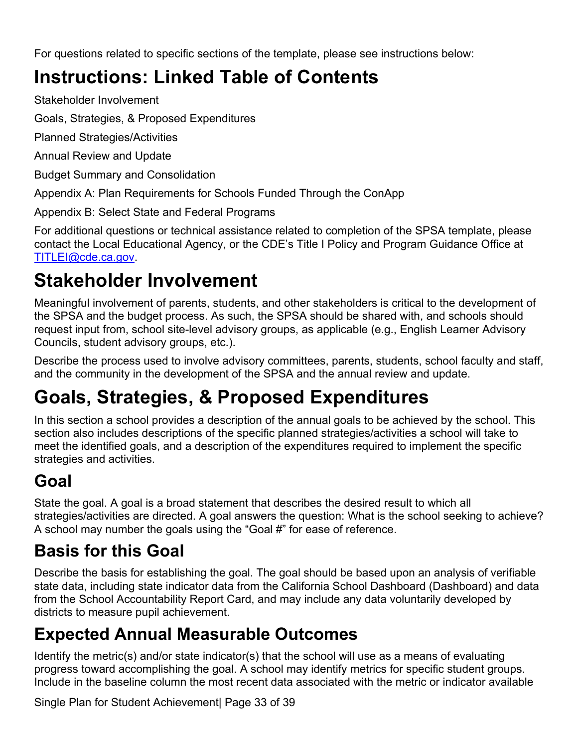For questions related to specific sections of the template, please see instructions below:

## **Instructions: Linked Table of Contents**

Stakeholder Involvement

Goals, Strategies, & Proposed Expenditures

Planned Strategies/Activities

Annual Review and Update

Budget Summary and Consolidation

Appendix A: Plan Requirements for Schools Funded Through the ConApp

Appendix B: Select State and Federal Programs

For additional questions or technical assistance related to completion of the SPSA template, please contact the Local Educational Agency, or the CDE's Title I Policy and Program Guidance Office at TITLEI@cde.ca.gov.

## **Stakeholder Involvement**

Meaningful involvement of parents, students, and other stakeholders is critical to the development of the SPSA and the budget process. As such, the SPSA should be shared with, and schools should request input from, school site-level advisory groups, as applicable (e.g., English Learner Advisory Councils, student advisory groups, etc.).

Describe the process used to involve advisory committees, parents, students, school faculty and staff, and the community in the development of the SPSA and the annual review and update.

## **Goals, Strategies, & Proposed Expenditures**

In this section a school provides a description of the annual goals to be achieved by the school. This section also includes descriptions of the specific planned strategies/activities a school will take to meet the identified goals, and a description of the expenditures required to implement the specific strategies and activities.

## **Goal**

State the goal. A goal is a broad statement that describes the desired result to which all strategies/activities are directed. A goal answers the question: What is the school seeking to achieve? A school may number the goals using the "Goal #" for ease of reference.

## **Basis for this Goal**

Describe the basis for establishing the goal. The goal should be based upon an analysis of verifiable state data, including state indicator data from the California School Dashboard (Dashboard) and data from the School Accountability Report Card, and may include any data voluntarily developed by districts to measure pupil achievement.

## **Expected Annual Measurable Outcomes**

Identify the metric(s) and/or state indicator(s) that the school will use as a means of evaluating progress toward accomplishing the goal. A school may identify metrics for specific student groups. Include in the baseline column the most recent data associated with the metric or indicator available

Single Plan for Student Achievement| Page 33 of 39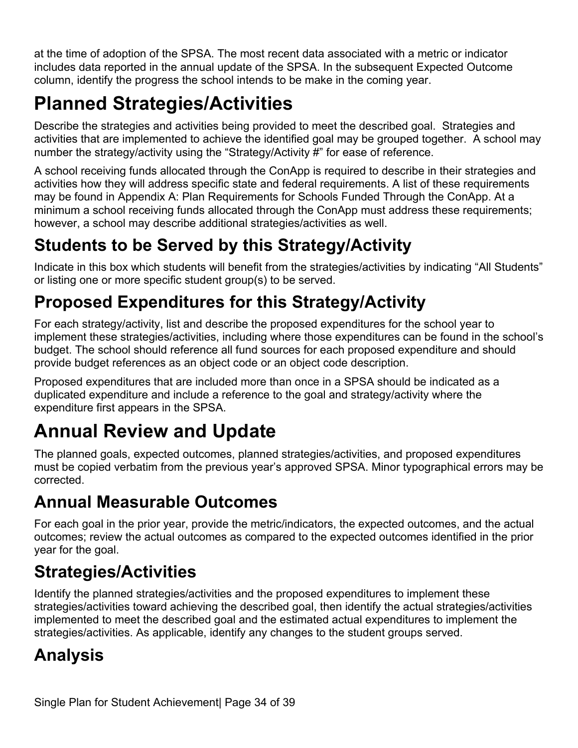at the time of adoption of the SPSA. The most recent data associated with a metric or indicator includes data reported in the annual update of the SPSA. In the subsequent Expected Outcome column, identify the progress the school intends to be make in the coming year.

## **Planned Strategies/Activities**

Describe the strategies and activities being provided to meet the described goal. Strategies and activities that are implemented to achieve the identified goal may be grouped together. A school may number the strategy/activity using the "Strategy/Activity #" for ease of reference.

A school receiving funds allocated through the ConApp is required to describe in their strategies and activities how they will address specific state and federal requirements. A list of these requirements may be found in Appendix A: Plan Requirements for Schools Funded Through the ConApp. At a minimum a school receiving funds allocated through the ConApp must address these requirements; however, a school may describe additional strategies/activities as well.

## **Students to be Served by this Strategy/Activity**

Indicate in this box which students will benefit from the strategies/activities by indicating "All Students" or listing one or more specific student group(s) to be served.

## **Proposed Expenditures for this Strategy/Activity**

For each strategy/activity, list and describe the proposed expenditures for the school year to implement these strategies/activities, including where those expenditures can be found in the school's budget. The school should reference all fund sources for each proposed expenditure and should provide budget references as an object code or an object code description.

Proposed expenditures that are included more than once in a SPSA should be indicated as a duplicated expenditure and include a reference to the goal and strategy/activity where the expenditure first appears in the SPSA.

## **Annual Review and Update**

The planned goals, expected outcomes, planned strategies/activities, and proposed expenditures must be copied verbatim from the previous year's approved SPSA. Minor typographical errors may be corrected.

## **Annual Measurable Outcomes**

For each goal in the prior year, provide the metric/indicators, the expected outcomes, and the actual outcomes; review the actual outcomes as compared to the expected outcomes identified in the prior year for the goal.

## **Strategies/Activities**

Identify the planned strategies/activities and the proposed expenditures to implement these strategies/activities toward achieving the described goal, then identify the actual strategies/activities implemented to meet the described goal and the estimated actual expenditures to implement the strategies/activities. As applicable, identify any changes to the student groups served.

## **Analysis**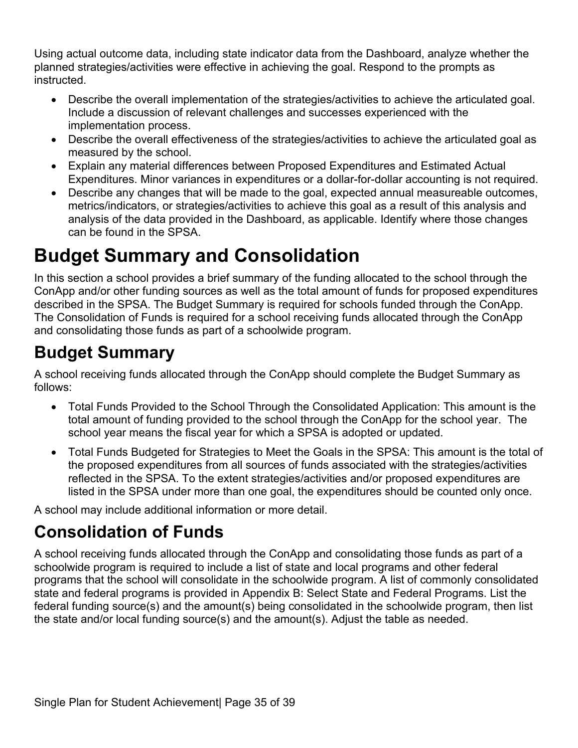Using actual outcome data, including state indicator data from the Dashboard, analyze whether the planned strategies/activities were effective in achieving the goal. Respond to the prompts as instructed.

- Describe the overall implementation of the strategies/activities to achieve the articulated goal. Include a discussion of relevant challenges and successes experienced with the implementation process.
- Describe the overall effectiveness of the strategies/activities to achieve the articulated goal as measured by the school.
- Explain any material differences between Proposed Expenditures and Estimated Actual Expenditures. Minor variances in expenditures or a dollar-for-dollar accounting is not required.
- Describe any changes that will be made to the goal, expected annual measureable outcomes, metrics/indicators, or strategies/activities to achieve this goal as a result of this analysis and analysis of the data provided in the Dashboard, as applicable. Identify where those changes can be found in the SPSA.

## **Budget Summary and Consolidation**

In this section a school provides a brief summary of the funding allocated to the school through the ConApp and/or other funding sources as well as the total amount of funds for proposed expenditures described in the SPSA. The Budget Summary is required for schools funded through the ConApp. The Consolidation of Funds is required for a school receiving funds allocated through the ConApp and consolidating those funds as part of a schoolwide program.

## **Budget Summary**

A school receiving funds allocated through the ConApp should complete the Budget Summary as follows:

- Total Funds Provided to the School Through the Consolidated Application: This amount is the total amount of funding provided to the school through the ConApp for the school year. The school year means the fiscal year for which a SPSA is adopted or updated.
- Total Funds Budgeted for Strategies to Meet the Goals in the SPSA: This amount is the total of the proposed expenditures from all sources of funds associated with the strategies/activities reflected in the SPSA. To the extent strategies/activities and/or proposed expenditures are listed in the SPSA under more than one goal, the expenditures should be counted only once.

A school may include additional information or more detail.

## **Consolidation of Funds**

A school receiving funds allocated through the ConApp and consolidating those funds as part of a schoolwide program is required to include a list of state and local programs and other federal programs that the school will consolidate in the schoolwide program. A list of commonly consolidated state and federal programs is provided in Appendix B: Select State and Federal Programs. List the federal funding source(s) and the amount(s) being consolidated in the schoolwide program, then list the state and/or local funding source(s) and the amount(s). Adjust the table as needed.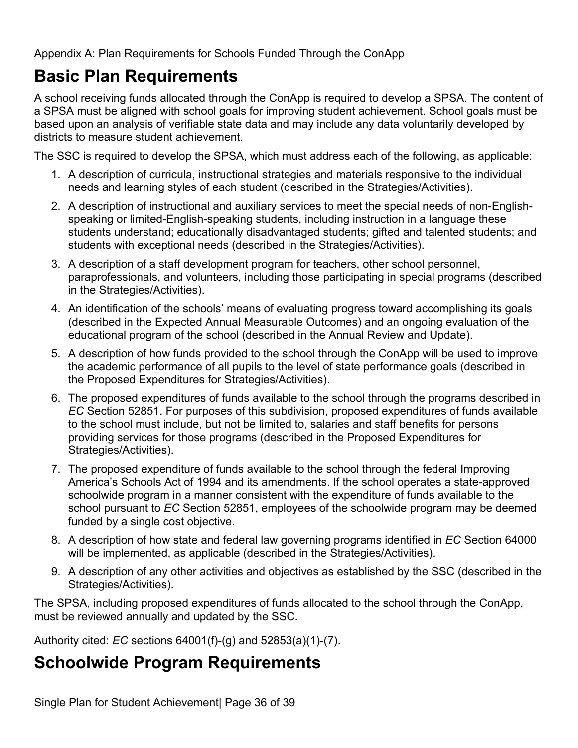Appendix A: Plan Requirements for Schools Funded Through the ConApp

## **Basic Plan Requirements**

A school receiving funds allocated through the ConApp is required to develop a SPSA. The content of a SPSA must be aligned with school goals for improving student achievement. School goals must be based upon an analysis of verifiable state data and may include any data voluntarily developed by districts to measure student achievement.

The SSC is required to develop the SPSA, which must address each of the following, as applicable:

- 1. A description of curricula, instructional strategies and materials responsive to the individual needs and learning styles of each student (described in the Strategies/Activities).
- 2. A description of instructional and auxiliary services to meet the special needs of non-Englishspeaking or limited-English-speaking students, including instruction in a language these students understand; educationally disadvantaged students; gifted and talented students; and students with exceptional needs (described in the Strategies/Activities).
- 3. A description of a staff development program for teachers, other school personnel, paraprofessionals, and volunteers, including those participating in special programs (described in the Strategies/Activities).
- 4. An identification of the schools' means of evaluating progress toward accomplishing its goals (described in the Expected Annual Measurable Outcomes) and an ongoing evaluation of the educational program of the school (described in the Annual Review and Update).
- 5. A description of how funds provided to the school through the ConApp will be used to improve the academic performance of all pupils to the level of state performance goals (described in the Proposed Expenditures for Strategies/Activities).
- 6. The proposed expenditures of funds available to the school through the programs described in *EC* Section 52851. For purposes of this subdivision, proposed expenditures of funds available to the school must include, but not be limited to, salaries and staff benefits for persons providing services for those programs (described in the Proposed Expenditures for Strategies/Activities).
- 7. The proposed expenditure of funds available to the school through the federal Improving America's Schools Act of 1994 and its amendments. If the school operates a state-approved schoolwide program in a manner consistent with the expenditure of funds available to the school pursuant to *EC* Section 52851, employees of the schoolwide program may be deemed funded by a single cost objective.
- 8. A description of how state and federal law governing programs identified in *EC* Section 64000 will be implemented, as applicable (described in the Strategies/Activities).
- 9. A description of any other activities and objectives as established by the SSC (described in the Strategies/Activities).

The SPSA, including proposed expenditures of funds allocated to the school through the ConApp, must be reviewed annually and updated by the SSC.

Authority cited: *EC* sections 64001(f)-(g) and 52853(a)(1)-(7).

## **Schoolwide Program Requirements**

Single Plan for Student Achievement| Page 36 of 39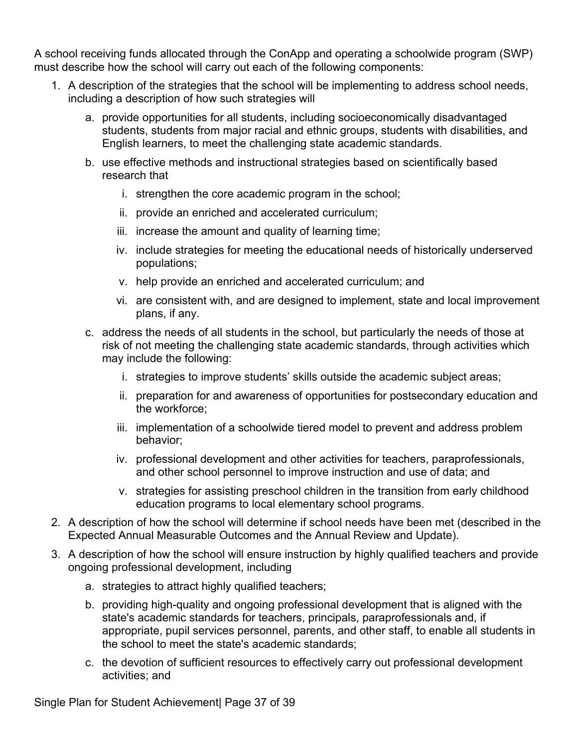A school receiving funds allocated through the ConApp and operating a schoolwide program (SWP) must describe how the school will carry out each of the following components:

- 1. A description of the strategies that the school will be implementing to address school needs, including a description of how such strategies will
	- a. provide opportunities for all students, including socioeconomically disadvantaged students, students from major racial and ethnic groups, students with disabilities, and English learners, to meet the challenging state academic standards.
	- b. use effective methods and instructional strategies based on scientifically based research that
		- i. strengthen the core academic program in the school;
		- ii. provide an enriched and accelerated curriculum;
		- iii. increase the amount and quality of learning time;
		- iv. include strategies for meeting the educational needs of historically underserved populations;
		- v. help provide an enriched and accelerated curriculum; and
		- vi. are consistent with, and are designed to implement, state and local improvement plans, if any.
	- c. address the needs of all students in the school, but particularly the needs of those at risk of not meeting the challenging state academic standards, through activities which may include the following:
		- i. strategies to improve students' skills outside the academic subject areas;
		- ii. preparation for and awareness of opportunities for postsecondary education and the workforce;
		- iii. implementation of a schoolwide tiered model to prevent and address problem behavior;
		- iv. professional development and other activities for teachers, paraprofessionals, and other school personnel to improve instruction and use of data; and
		- v. strategies for assisting preschool children in the transition from early childhood education programs to local elementary school programs.
- 2. A description of how the school will determine if school needs have been met (described in the Expected Annual Measurable Outcomes and the Annual Review and Update).
- 3. A description of how the school will ensure instruction by highly qualified teachers and provide ongoing professional development, including
	- a. strategies to attract highly qualified teachers;
	- b. providing high-quality and ongoing professional development that is aligned with the state's academic standards for teachers, principals, paraprofessionals and, if appropriate, pupil services personnel, parents, and other staff, to enable all students in the school to meet the state's academic standards;
	- c. the devotion of sufficient resources to effectively carry out professional development activities; and

Single Plan for Student Achievement| Page 37 of 39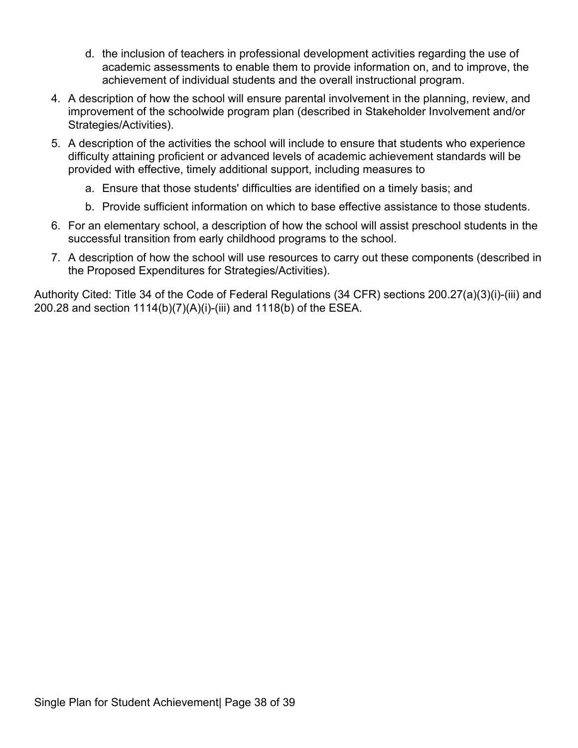- d. the inclusion of teachers in professional development activities regarding the use of academic assessments to enable them to provide information on, and to improve, the achievement of individual students and the overall instructional program.
- 4. A description of how the school will ensure parental involvement in the planning, review, and improvement of the schoolwide program plan (described in Stakeholder Involvement and/or Strategies/Activities).
- 5. A description of the activities the school will include to ensure that students who experience difficulty attaining proficient or advanced levels of academic achievement standards will be provided with effective, timely additional support, including measures to
	- a. Ensure that those students' difficulties are identified on a timely basis; and
	- b. Provide sufficient information on which to base effective assistance to those students.
- 6. For an elementary school, a description of how the school will assist preschool students in the successful transition from early childhood programs to the school.
- 7. A description of how the school will use resources to carry out these components (described in the Proposed Expenditures for Strategies/Activities).

Authority Cited: Title 34 of the Code of Federal Regulations (34 CFR) sections 200.27(a)(3)(i)-(iii) and 200.28 and section 1114(b)(7)(A)(i)-(iii) and 1118(b) of the ESEA.